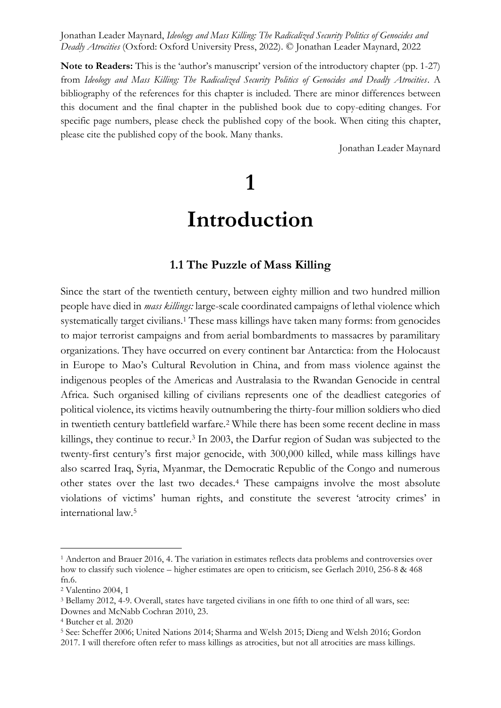**Note to Readers:** This is the 'author's manuscript' version of the introductory chapter (pp. 1-27) from *Ideology and Mass Killing: The Radicalized Security Politics of Genocides and Deadly Atrocities*. A bibliography of the references for this chapter is included. There are minor differences between this document and the final chapter in the published book due to copy-editing changes. For specific page numbers, please check the published copy of the book. When citing this chapter, please cite the published copy of the book. Many thanks.

Jonathan Leader Maynard

# **1**

# **Introduction**

#### **1.1 The Puzzle of Mass Killing**

Since the start of the twentieth century, between eighty million and two hundred million people have died in *mass killings:* large-scale coordinated campaigns of lethal violence which systematically target civilians.<sup>1</sup> These mass killings have taken many forms: from genocides to major terrorist campaigns and from aerial bombardments to massacres by paramilitary organizations. They have occurred on every continent bar Antarctica: from the Holocaust in Europe to Mao's Cultural Revolution in China, and from mass violence against the indigenous peoples of the Americas and Australasia to the Rwandan Genocide in central Africa. Such organised killing of civilians represents one of the deadliest categories of political violence, its victims heavily outnumbering the thirty-four million soldiers who died in twentieth century battlefield warfare.<sup>2</sup> While there has been some recent decline in mass killings, they continue to recur.<sup>3</sup> In 2003, the Darfur region of Sudan was subjected to the twenty-first century's first major genocide, with 300,000 killed, while mass killings have also scarred Iraq, Syria, Myanmar, the Democratic Republic of the Congo and numerous other states over the last two decades.<sup>4</sup> These campaigns involve the most absolute violations of victims' human rights, and constitute the severest 'atrocity crimes' in international law.<sup>5</sup>

<sup>1</sup> Anderton and Brauer 2016, 4. The variation in estimates reflects data problems and controversies over how to classify such violence – higher estimates are open to criticism, see Gerlach 2010, 256-8 & 468 fn.6.

<sup>2</sup> Valentino 2004, 1

<sup>3</sup> Bellamy 2012, 4-9. Overall, states have targeted civilians in one fifth to one third of all wars, see: Downes and McNabb Cochran 2010, 23.

<sup>4</sup> Butcher et al. 2020

<sup>5</sup> See: Scheffer 2006; United Nations 2014; Sharma and Welsh 2015; Dieng and Welsh 2016; Gordon 2017. I will therefore often refer to mass killings as atrocities, but not all atrocities are mass killings.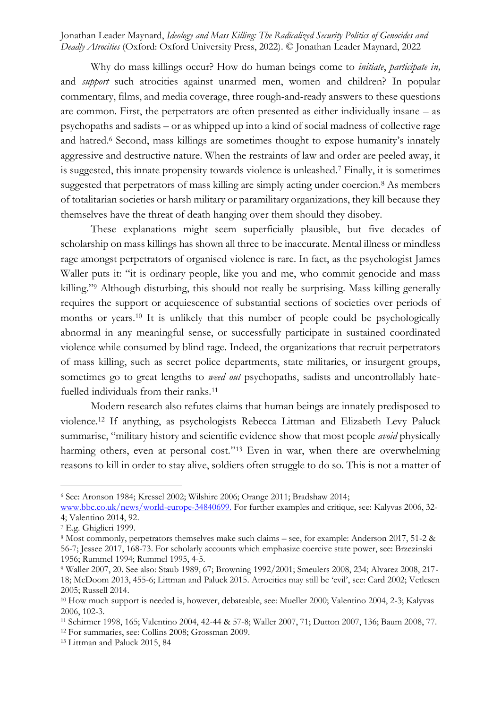Why do mass killings occur? How do human beings come to *initiate*, *participate in,*  and *support* such atrocities against unarmed men, women and children? In popular commentary, films, and media coverage, three rough-and-ready answers to these questions are common. First, the perpetrators are often presented as either individually insane – as psychopaths and sadists – or as whipped up into a kind of social madness of collective rage and hatred.<sup>6</sup> Second, mass killings are sometimes thought to expose humanity's innately aggressive and destructive nature. When the restraints of law and order are peeled away, it is suggested, this innate propensity towards violence is unleashed.<sup>7</sup> Finally, it is sometimes suggested that perpetrators of mass killing are simply acting under coercion.<sup>8</sup> As members of totalitarian societies or harsh military or paramilitary organizations, they kill because they themselves have the threat of death hanging over them should they disobey.

These explanations might seem superficially plausible, but five decades of scholarship on mass killings has shown all three to be inaccurate. Mental illness or mindless rage amongst perpetrators of organised violence is rare. In fact, as the psychologist James Waller puts it: "it is ordinary people, like you and me, who commit genocide and mass killing."<sup>9</sup> Although disturbing, this should not really be surprising. Mass killing generally requires the support or acquiescence of substantial sections of societies over periods of months or years.<sup>10</sup> It is unlikely that this number of people could be psychologically abnormal in any meaningful sense, or successfully participate in sustained coordinated violence while consumed by blind rage. Indeed, the organizations that recruit perpetrators of mass killing, such as secret police departments, state militaries, or insurgent groups, sometimes go to great lengths to *weed out* psychopaths, sadists and uncontrollably hatefuelled individuals from their ranks.<sup>11</sup>

Modern research also refutes claims that human beings are innately predisposed to violence.<sup>12</sup> If anything, as psychologists Rebecca Littman and Elizabeth Levy Paluck summarise, "military history and scientific evidence show that most people *avoid* physically harming others, even at personal cost."<sup>13</sup> Even in war, when there are overwhelming reasons to kill in order to stay alive, soldiers often struggle to do so. This is not a matter of

<sup>6</sup> See: Aronson 1984; Kressel 2002; Wilshire 2006; Orange 2011; Bradshaw 2014;

[www.bbc.co.uk/news/world-europe-34840699.](http://www.bbc.co.uk/news/world-europe-34840699) For further examples and critique, see: Kalyvas 2006, 32- 4; Valentino 2014, 92.

<sup>7</sup> E.g. Ghiglieri 1999.

<sup>8</sup> Most commonly, perpetrators themselves make such claims – see, for example: Anderson 2017, 51-2 & 56-7; Jessee 2017, 168-73. For scholarly accounts which emphasize coercive state power, see: Brzezinski 1956; Rummel 1994; Rummel 1995, 4-5.

<sup>9</sup> Waller 2007, 20. See also: Staub 1989, 67; Browning 1992/2001; Smeulers 2008, 234; Alvarez 2008, 217- 18; McDoom 2013, 455-6; Littman and Paluck 2015. Atrocities may still be 'evil', see: Card 2002; Vetlesen 2005; Russell 2014.

<sup>10</sup> How much support is needed is, however, debateable, see: Mueller 2000; Valentino 2004, 2-3; Kalyvas 2006, 102-3.

<sup>11</sup> Schirmer 1998, 165; Valentino 2004, 42-44 & 57-8; Waller 2007, 71; Dutton 2007, 136; Baum 2008, 77.

<sup>12</sup> For summaries, see: Collins 2008; Grossman 2009.

<sup>13</sup> Littman and Paluck 2015, 84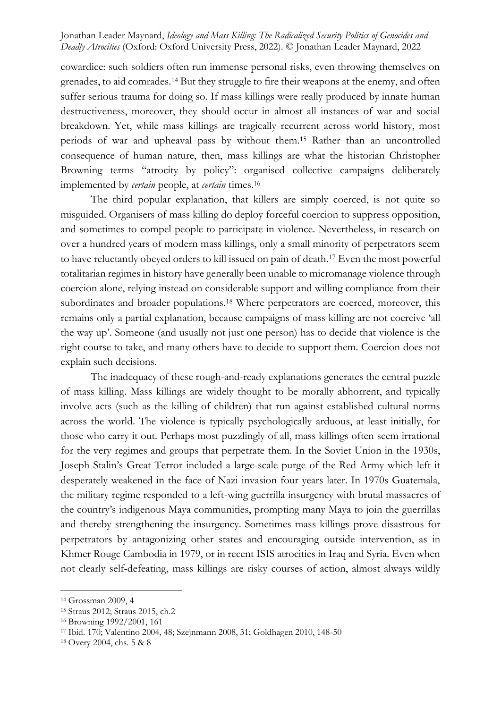cowardice: such soldiers often run immense personal risks, even throwing themselves on grenades, to aid comrades.<sup>14</sup> But they struggle to fire their weapons at the enemy, and often suffer serious trauma for doing so. If mass killings were really produced by innate human destructiveness, moreover, they should occur in almost all instances of war and social breakdown. Yet, while mass killings are tragically recurrent across world history, most periods of war and upheaval pass by without them.<sup>15</sup> Rather than an uncontrolled consequence of human nature, then, mass killings are what the historian Christopher Browning terms "atrocity by policy": organised collective campaigns deliberately implemented by *certain* people, at *certain* times.<sup>16</sup>

The third popular explanation, that killers are simply coerced, is not quite so misguided. Organisers of mass killing do deploy forceful coercion to suppress opposition, and sometimes to compel people to participate in violence. Nevertheless, in research on over a hundred years of modern mass killings, only a small minority of perpetrators seem to have reluctantly obeyed orders to kill issued on pain of death.<sup>17</sup> Even the most powerful totalitarian regimes in history have generally been unable to micromanage violence through coercion alone, relying instead on considerable support and willing compliance from their subordinates and broader populations.<sup>18</sup> Where perpetrators are coerced, moreover, this remains only a partial explanation, because campaigns of mass killing are not coercive 'all the way up'. Someone (and usually not just one person) has to decide that violence is the right course to take, and many others have to decide to support them. Coercion does not explain such decisions.

The inadequacy of these rough-and-ready explanations generates the central puzzle of mass killing. Mass killings are widely thought to be morally abhorrent, and typically involve acts (such as the killing of children) that run against established cultural norms across the world. The violence is typically psychologically arduous, at least initially, for those who carry it out. Perhaps most puzzlingly of all, mass killings often seem irrational for the very regimes and groups that perpetrate them. In the Soviet Union in the 1930s, Joseph Stalin's Great Terror included a large-scale purge of the Red Army which left it desperately weakened in the face of Nazi invasion four years later. In 1970s Guatemala, the military regime responded to a left-wing guerrilla insurgency with brutal massacres of the country's indigenous Maya communities, prompting many Maya to join the guerrillas and thereby strengthening the insurgency. Sometimes mass killings prove disastrous for perpetrators by antagonizing other states and encouraging outside intervention, as in Khmer Rouge Cambodia in 1979, or in recent ISIS atrocities in Iraq and Syria. Even when not clearly self-defeating, mass killings are risky courses of action, almost always wildly

<sup>14</sup> Grossman 2009, 4

<sup>15</sup> Straus 2012; Straus 2015, ch.2

<sup>16</sup> Browning 1992/2001, 161

<sup>17</sup> Ibid. 170; Valentino 2004, 48; Szejnmann 2008, 31; Goldhagen 2010, 148-50

<sup>18</sup> Overy 2004, chs. 5 & 8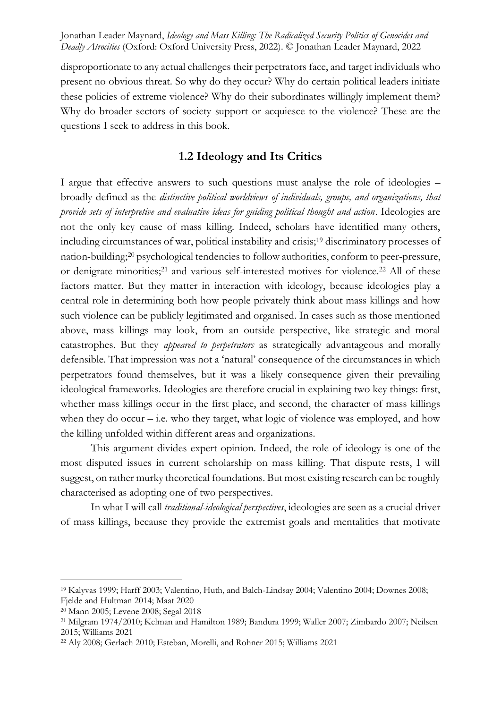disproportionate to any actual challenges their perpetrators face, and target individuals who present no obvious threat. So why do they occur? Why do certain political leaders initiate these policies of extreme violence? Why do their subordinates willingly implement them? Why do broader sectors of society support or acquiesce to the violence? These are the questions I seek to address in this book.

# **1.2 Ideology and Its Critics**

I argue that effective answers to such questions must analyse the role of ideologies – broadly defined as the *distinctive political worldviews of individuals, groups, and organizations, that provide sets of interpretive and evaluative ideas for guiding political thought and action*. Ideologies are not the only key cause of mass killing. Indeed, scholars have identified many others, including circumstances of war, political instability and crisis;<sup>19</sup> discriminatory processes of nation-building;<sup>20</sup> psychological tendencies to follow authorities, conform to peer-pressure, or denigrate minorities;<sup>21</sup> and various self-interested motives for violence.<sup>22</sup> All of these factors matter. But they matter in interaction with ideology, because ideologies play a central role in determining both how people privately think about mass killings and how such violence can be publicly legitimated and organised. In cases such as those mentioned above, mass killings may look, from an outside perspective, like strategic and moral catastrophes. But they *appeared to perpetrators* as strategically advantageous and morally defensible. That impression was not a 'natural' consequence of the circumstances in which perpetrators found themselves, but it was a likely consequence given their prevailing ideological frameworks. Ideologies are therefore crucial in explaining two key things: first, whether mass killings occur in the first place, and second, the character of mass killings when they do  $occur - i.e.$  who they target, what logic of violence was employed, and how the killing unfolded within different areas and organizations.

This argument divides expert opinion. Indeed, the role of ideology is one of the most disputed issues in current scholarship on mass killing. That dispute rests, I will suggest, on rather murky theoretical foundations. But most existing research can be roughly characterised as adopting one of two perspectives.

In what I will call *traditional-ideological perspectives*, ideologies are seen as a crucial driver of mass killings, because they provide the extremist goals and mentalities that motivate

<sup>19</sup> Kalyvas 1999; Harff 2003; Valentino, Huth, and Balch-Lindsay 2004; Valentino 2004; Downes 2008; Fjelde and Hultman 2014; Maat 2020

<sup>20</sup> Mann 2005; Levene 2008; Segal 2018

<sup>21</sup> Milgram 1974/2010; Kelman and Hamilton 1989; Bandura 1999; Waller 2007; Zimbardo 2007; Neilsen 2015; Williams 2021

<sup>22</sup> Aly 2008; Gerlach 2010; Esteban, Morelli, and Rohner 2015; Williams 2021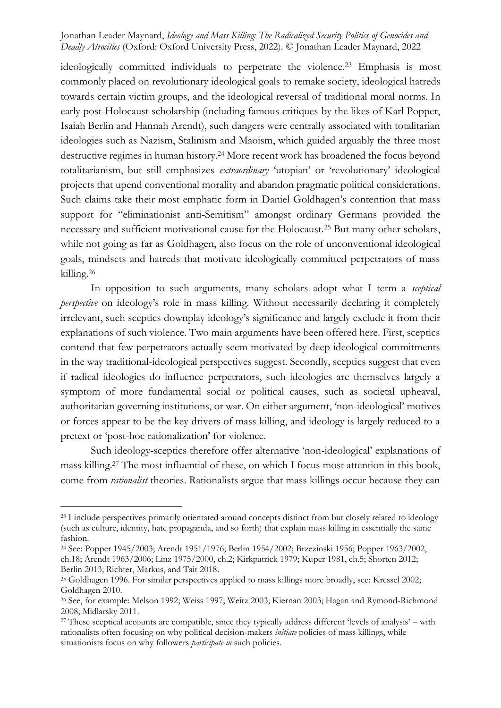ideologically committed individuals to perpetrate the violence.<sup>23</sup> Emphasis is most commonly placed on revolutionary ideological goals to remake society, ideological hatreds towards certain victim groups, and the ideological reversal of traditional moral norms. In early post-Holocaust scholarship (including famous critiques by the likes of Karl Popper, Isaiah Berlin and Hannah Arendt), such dangers were centrally associated with totalitarian ideologies such as Nazism, Stalinism and Maoism, which guided arguably the three most destructive regimes in human history.<sup>24</sup> More recent work has broadened the focus beyond totalitarianism, but still emphasizes *extraordinary* 'utopian' or 'revolutionary' ideological projects that upend conventional morality and abandon pragmatic political considerations. Such claims take their most emphatic form in Daniel Goldhagen's contention that mass support for "eliminationist anti-Semitism" amongst ordinary Germans provided the necessary and sufficient motivational cause for the Holocaust.<sup>25</sup> But many other scholars, while not going as far as Goldhagen, also focus on the role of unconventional ideological goals, mindsets and hatreds that motivate ideologically committed perpetrators of mass killing.<sup>26</sup>

In opposition to such arguments, many scholars adopt what I term a *sceptical perspective* on ideology's role in mass killing. Without necessarily declaring it completely irrelevant, such sceptics downplay ideology's significance and largely exclude it from their explanations of such violence. Two main arguments have been offered here. First, sceptics contend that few perpetrators actually seem motivated by deep ideological commitments in the way traditional-ideological perspectives suggest. Secondly, sceptics suggest that even if radical ideologies do influence perpetrators, such ideologies are themselves largely a symptom of more fundamental social or political causes, such as societal upheaval, authoritarian governing institutions, or war. On either argument, 'non-ideological' motives or forces appear to be the key drivers of mass killing, and ideology is largely reduced to a pretext or 'post-hoc rationalization' for violence.

Such ideology-sceptics therefore offer alternative 'non-ideological' explanations of mass killing.<sup>27</sup> The most influential of these, on which I focus most attention in this book, come from *rationalist* theories. Rationalists argue that mass killings occur because they can

<sup>&</sup>lt;sup>23</sup> I include perspectives primarily orientated around concepts distinct from but closely related to ideology (such as culture, identity, hate propaganda, and so forth) that explain mass killing in essentially the same fashion.

<sup>24</sup> See: Popper 1945/2003; Arendt 1951/1976; Berlin 1954/2002; Brzezinski 1956; Popper 1963/2002, ch.18; Arendt 1963/2006; Linz 1975/2000, ch.2; Kirkpatrick 1979; Kuper 1981, ch.5; Shorten 2012; Berlin 2013; Richter, Markus, and Tait 2018.

<sup>&</sup>lt;sup>25</sup> Goldhagen 1996. For similar perspectives applied to mass killings more broadly, see: Kressel 2002; Goldhagen 2010.

<sup>26</sup> See, for example: Melson 1992; Weiss 1997; Weitz 2003; Kiernan 2003; Hagan and Rymond-Richmond 2008; Midlarsky 2011.

<sup>&</sup>lt;sup>27</sup> These sceptical accounts are compatible, since they typically address different 'levels of analysis' – with rationalists often focusing on why political decision-makers *initiate* policies of mass killings, while situationists focus on why followers *participate in* such policies.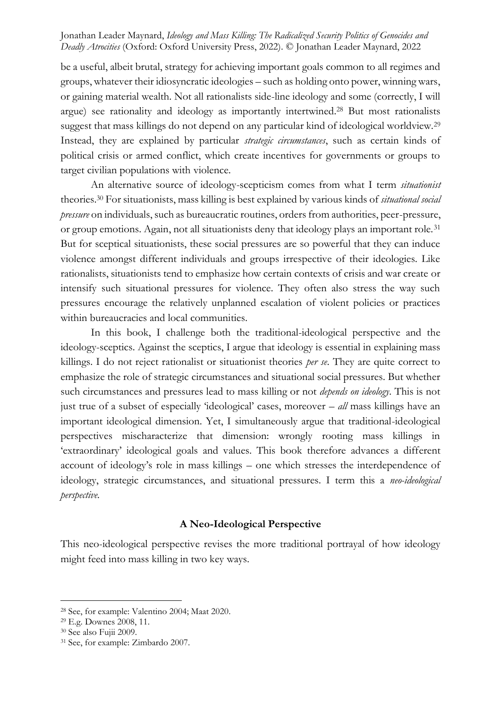be a useful, albeit brutal, strategy for achieving important goals common to all regimes and groups, whatever their idiosyncratic ideologies – such as holding onto power, winning wars, or gaining material wealth. Not all rationalists side-line ideology and some (correctly, I will argue) see rationality and ideology as importantly intertwined.<sup>28</sup> But most rationalists suggest that mass killings do not depend on any particular kind of ideological worldview.<sup>29</sup> Instead, they are explained by particular *strategic circumstances*, such as certain kinds of political crisis or armed conflict, which create incentives for governments or groups to target civilian populations with violence.

An alternative source of ideology-scepticism comes from what I term *situationist*  theories.<sup>30</sup> For situationists, mass killing is best explained by various kinds of *situational social pressure* on individuals, such as bureaucratic routines, orders from authorities, peer-pressure, or group emotions. Again, not all situationists deny that ideology plays an important role.<sup>31</sup> But for sceptical situationists, these social pressures are so powerful that they can induce violence amongst different individuals and groups irrespective of their ideologies. Like rationalists, situationists tend to emphasize how certain contexts of crisis and war create or intensify such situational pressures for violence. They often also stress the way such pressures encourage the relatively unplanned escalation of violent policies or practices within bureaucracies and local communities.

In this book, I challenge both the traditional-ideological perspective and the ideology-sceptics. Against the sceptics, I argue that ideology is essential in explaining mass killings. I do not reject rationalist or situationist theories *per se*. They are quite correct to emphasize the role of strategic circumstances and situational social pressures. But whether such circumstances and pressures lead to mass killing or not *depends on ideology*. This is not just true of a subset of especially 'ideological' cases, moreover – *all* mass killings have an important ideological dimension. Yet, I simultaneously argue that traditional-ideological perspectives mischaracterize that dimension: wrongly rooting mass killings in 'extraordinary' ideological goals and values. This book therefore advances a different account of ideology's role in mass killings – one which stresses the interdependence of ideology, strategic circumstances, and situational pressures. I term this a *neo-ideological perspective.*

#### **A Neo-Ideological Perspective**

This neo-ideological perspective revises the more traditional portrayal of how ideology might feed into mass killing in two key ways.

<sup>28</sup> See, for example: Valentino 2004; Maat 2020.

<sup>29</sup> E.g. Downes 2008, 11.

<sup>30</sup> See also Fujii 2009.

<sup>31</sup> See, for example: Zimbardo 2007.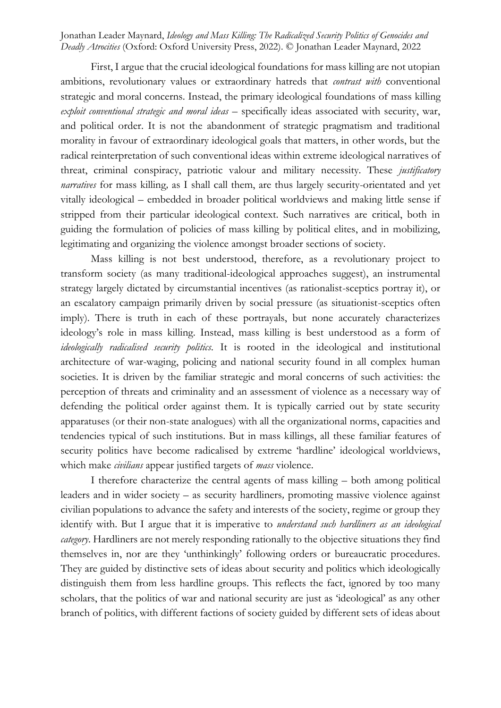First, I argue that the crucial ideological foundations for mass killing are not utopian ambitions, revolutionary values or extraordinary hatreds that *contrast with* conventional strategic and moral concerns. Instead, the primary ideological foundations of mass killing *exploit conventional strategic and moral ideas* – specifically ideas associated with security, war, and political order. It is not the abandonment of strategic pragmatism and traditional morality in favour of extraordinary ideological goals that matters, in other words, but the radical reinterpretation of such conventional ideas within extreme ideological narratives of threat, criminal conspiracy, patriotic valour and military necessity. These *justificatory narratives* for mass killing*,* as I shall call them, are thus largely security-orientated and yet vitally ideological – embedded in broader political worldviews and making little sense if stripped from their particular ideological context. Such narratives are critical, both in guiding the formulation of policies of mass killing by political elites, and in mobilizing, legitimating and organizing the violence amongst broader sections of society.

Mass killing is not best understood, therefore, as a revolutionary project to transform society (as many traditional-ideological approaches suggest), an instrumental strategy largely dictated by circumstantial incentives (as rationalist-sceptics portray it), or an escalatory campaign primarily driven by social pressure (as situationist-sceptics often imply). There is truth in each of these portrayals, but none accurately characterizes ideology's role in mass killing. Instead, mass killing is best understood as a form of *ideologically radicalised security politics.* It is rooted in the ideological and institutional architecture of war-waging, policing and national security found in all complex human societies. It is driven by the familiar strategic and moral concerns of such activities: the perception of threats and criminality and an assessment of violence as a necessary way of defending the political order against them. It is typically carried out by state security apparatuses (or their non-state analogues) with all the organizational norms, capacities and tendencies typical of such institutions. But in mass killings, all these familiar features of security politics have become radicalised by extreme 'hardline' ideological worldviews, which make *civilians* appear justified targets of *mass* violence.

I therefore characterize the central agents of mass killing – both among political leaders and in wider society – as security hardliners*,* promoting massive violence against civilian populations to advance the safety and interests of the society, regime or group they identify with. But I argue that it is imperative to *understand such hardliners as an ideological category*. Hardliners are not merely responding rationally to the objective situations they find themselves in, nor are they 'unthinkingly' following orders or bureaucratic procedures. They are guided by distinctive sets of ideas about security and politics which ideologically distinguish them from less hardline groups. This reflects the fact, ignored by too many scholars, that the politics of war and national security are just as 'ideological' as any other branch of politics, with different factions of society guided by different sets of ideas about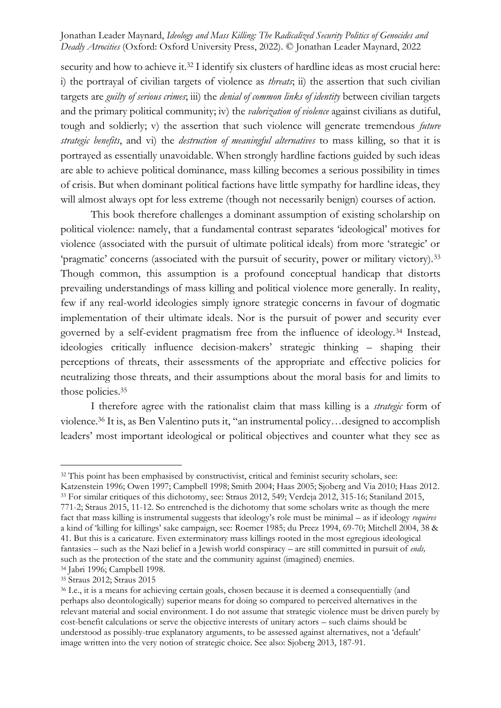security and how to achieve it.<sup>32</sup> I identify six clusters of hardline ideas as most crucial here: i) the portrayal of civilian targets of violence as *threats*; ii) the assertion that such civilian targets are *guilty of serious crimes*; iii) the *denial of common links of identity* between civilian targets and the primary political community; iv) the *valorization of violence* against civilians as dutiful, tough and soldierly; v) the assertion that such violence will generate tremendous *future strategic benefits*, and vi) the *destruction of meaningful alternatives* to mass killing, so that it is portrayed as essentially unavoidable. When strongly hardline factions guided by such ideas are able to achieve political dominance, mass killing becomes a serious possibility in times of crisis. But when dominant political factions have little sympathy for hardline ideas, they will almost always opt for less extreme (though not necessarily benign) courses of action.

This book therefore challenges a dominant assumption of existing scholarship on political violence: namely, that a fundamental contrast separates 'ideological' motives for violence (associated with the pursuit of ultimate political ideals) from more 'strategic' or 'pragmatic' concerns (associated with the pursuit of security, power or military victory).<sup>33</sup> Though common, this assumption is a profound conceptual handicap that distorts prevailing understandings of mass killing and political violence more generally. In reality, few if any real-world ideologies simply ignore strategic concerns in favour of dogmatic implementation of their ultimate ideals. Nor is the pursuit of power and security ever governed by a self-evident pragmatism free from the influence of ideology.<sup>34</sup> Instead, ideologies critically influence decision-makers' strategic thinking – shaping their perceptions of threats, their assessments of the appropriate and effective policies for neutralizing those threats, and their assumptions about the moral basis for and limits to those policies.<sup>35</sup>

I therefore agree with the rationalist claim that mass killing is a *strategic* form of violence.<sup>36</sup> It is, as Ben Valentino puts it, "an instrumental policy…designed to accomplish leaders' most important ideological or political objectives and counter what they see as

<sup>&</sup>lt;sup>32</sup> This point has been emphasised by constructivist, critical and feminist security scholars, see:

Katzenstein 1996; Owen 1997; Campbell 1998; Smith 2004; Haas 2005; Sjoberg and Via 2010; Haas 2012. <sup>33</sup> For similar critiques of this dichotomy, see: Straus 2012, 549; Verdeja 2012, 315-16; Staniland 2015, 771-2; Straus 2015, 11-12. So entrenched is the dichotomy that some scholars write as though the mere fact that mass killing is instrumental suggests that ideology's role must be minimal – as if ideology *requires* a kind of 'killing for killings' sake campaign, see: Roemer 1985; du Preez 1994, 69-70; Mitchell 2004, 38 & 41. But this is a caricature. Even exterminatory mass killings rooted in the most egregious ideological fantasies – such as the Nazi belief in a Jewish world conspiracy – are still committed in pursuit of *ends,*  such as the protection of the state and the community against (imagined) enemies.

<sup>34</sup> Jabri 1996; Campbell 1998.

<sup>35</sup> Straus 2012; Straus 2015

<sup>36</sup> I.e., it is a means for achieving certain goals, chosen because it is deemed a consequentially (and perhaps also deontologically) superior means for doing so compared to perceived alternatives in the relevant material and social environment. I do not assume that strategic violence must be driven purely by cost-benefit calculations or serve the objective interests of unitary actors – such claims should be understood as possibly-true explanatory arguments, to be assessed against alternatives, not a 'default' image written into the very notion of strategic choice. See also: Sjoberg 2013, 187-91.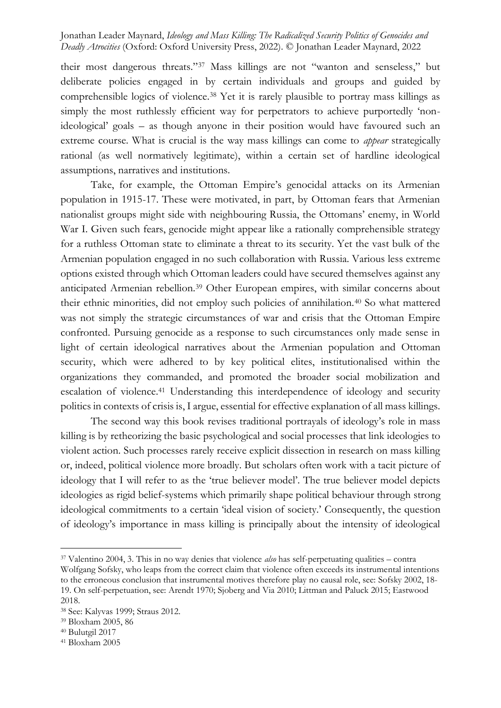their most dangerous threats."<sup>37</sup> Mass killings are not "wanton and senseless," but deliberate policies engaged in by certain individuals and groups and guided by comprehensible logics of violence.<sup>38</sup> Yet it is rarely plausible to portray mass killings as simply the most ruthlessly efficient way for perpetrators to achieve purportedly 'nonideological' goals – as though anyone in their position would have favoured such an extreme course. What is crucial is the way mass killings can come to *appear* strategically rational (as well normatively legitimate), within a certain set of hardline ideological assumptions, narratives and institutions.

Take, for example, the Ottoman Empire's genocidal attacks on its Armenian population in 1915-17. These were motivated, in part, by Ottoman fears that Armenian nationalist groups might side with neighbouring Russia, the Ottomans' enemy, in World War I. Given such fears, genocide might appear like a rationally comprehensible strategy for a ruthless Ottoman state to eliminate a threat to its security. Yet the vast bulk of the Armenian population engaged in no such collaboration with Russia. Various less extreme options existed through which Ottoman leaders could have secured themselves against any anticipated Armenian rebellion.<sup>39</sup> Other European empires, with similar concerns about their ethnic minorities, did not employ such policies of annihilation.<sup>40</sup> So what mattered was not simply the strategic circumstances of war and crisis that the Ottoman Empire confronted. Pursuing genocide as a response to such circumstances only made sense in light of certain ideological narratives about the Armenian population and Ottoman security, which were adhered to by key political elites, institutionalised within the organizations they commanded, and promoted the broader social mobilization and escalation of violence.<sup>41</sup> Understanding this interdependence of ideology and security politics in contexts of crisis is, I argue, essential for effective explanation of all mass killings.

The second way this book revises traditional portrayals of ideology's role in mass killing is by retheorizing the basic psychological and social processes that link ideologies to violent action. Such processes rarely receive explicit dissection in research on mass killing or, indeed, political violence more broadly. But scholars often work with a tacit picture of ideology that I will refer to as the 'true believer model'. The true believer model depicts ideologies as rigid belief-systems which primarily shape political behaviour through strong ideological commitments to a certain 'ideal vision of society.' Consequently, the question of ideology's importance in mass killing is principally about the intensity of ideological

<sup>37</sup> Valentino 2004, 3. This in no way denies that violence *also* has self-perpetuating qualities – contra Wolfgang Sofsky, who leaps from the correct claim that violence often exceeds its instrumental intentions to the erroneous conclusion that instrumental motives therefore play no causal role, see: Sofsky 2002, 18- 19. On self-perpetuation, see: Arendt 1970; Sjoberg and Via 2010; Littman and Paluck 2015; Eastwood 2018.

<sup>38</sup> See: Kalyvas 1999; Straus 2012.

<sup>39</sup> Bloxham 2005, 86

<sup>40</sup> Bulutgil 2017

<sup>41</sup> Bloxham 2005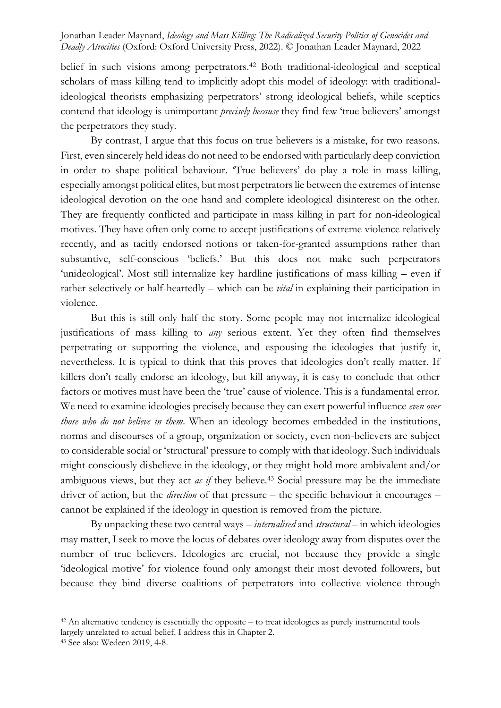belief in such visions among perpetrators.<sup>42</sup> Both traditional-ideological and sceptical scholars of mass killing tend to implicitly adopt this model of ideology: with traditionalideological theorists emphasizing perpetrators' strong ideological beliefs, while sceptics contend that ideology is unimportant *precisely because* they find few 'true believers' amongst the perpetrators they study.

By contrast, I argue that this focus on true believers is a mistake, for two reasons. First, even sincerely held ideas do not need to be endorsed with particularly deep conviction in order to shape political behaviour. 'True believers' do play a role in mass killing, especially amongst political elites, but most perpetrators lie between the extremes of intense ideological devotion on the one hand and complete ideological disinterest on the other. They are frequently conflicted and participate in mass killing in part for non-ideological motives. They have often only come to accept justifications of extreme violence relatively recently, and as tacitly endorsed notions or taken-for-granted assumptions rather than substantive, self-conscious 'beliefs.' But this does not make such perpetrators 'unideological'. Most still internalize key hardline justifications of mass killing – even if rather selectively or half-heartedly – which can be *vital* in explaining their participation in violence.

But this is still only half the story. Some people may not internalize ideological justifications of mass killing to *any* serious extent. Yet they often find themselves perpetrating or supporting the violence, and espousing the ideologies that justify it, nevertheless. It is typical to think that this proves that ideologies don't really matter. If killers don't really endorse an ideology, but kill anyway, it is easy to conclude that other factors or motives must have been the 'true' cause of violence. This is a fundamental error. We need to examine ideologies precisely because they can exert powerful influence *even over those who do not believe in them*. When an ideology becomes embedded in the institutions, norms and discourses of a group, organization or society, even non-believers are subject to considerable social or 'structural' pressure to comply with that ideology. Such individuals might consciously disbelieve in the ideology, or they might hold more ambivalent and/or ambiguous views, but they act *as if* they believe*.* <sup>43</sup> Social pressure may be the immediate driver of action, but the *direction* of that pressure – the specific behaviour it encourages – cannot be explained if the ideology in question is removed from the picture.

By unpacking these two central ways – *internalised* and *structural* – in which ideologies may matter, I seek to move the locus of debates over ideology away from disputes over the number of true believers. Ideologies are crucial, not because they provide a single 'ideological motive' for violence found only amongst their most devoted followers, but because they bind diverse coalitions of perpetrators into collective violence through

 $42$  An alternative tendency is essentially the opposite – to treat ideologies as purely instrumental tools largely unrelated to actual belief. I address this in Chapter 2.

<sup>43</sup> See also: Wedeen 2019, 4-8.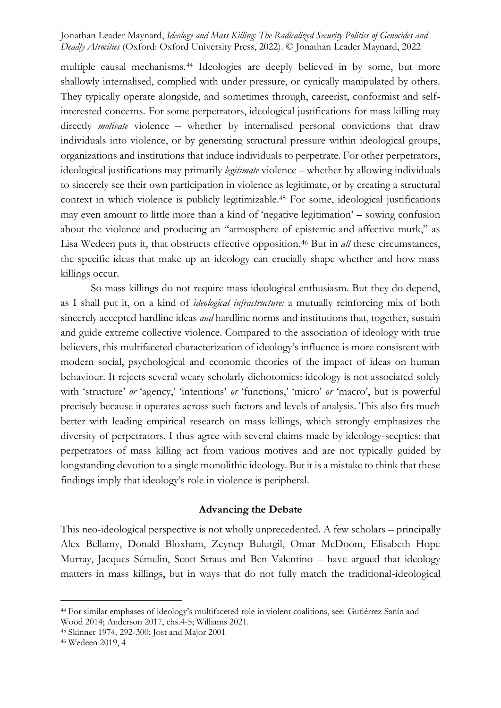multiple causal mechanisms.<sup>44</sup> Ideologies are deeply believed in by some, but more shallowly internalised, complied with under pressure, or cynically manipulated by others. They typically operate alongside, and sometimes through, careerist, conformist and selfinterested concerns. For some perpetrators, ideological justifications for mass killing may directly *motivate* violence – whether by internalised personal convictions that draw individuals into violence, or by generating structural pressure within ideological groups, organizations and institutions that induce individuals to perpetrate. For other perpetrators, ideological justifications may primarily *legitimate* violence – whether by allowing individuals to sincerely see their own participation in violence as legitimate, or by creating a structural context in which violence is publicly legitimizable.<sup>45</sup> For some, ideological justifications may even amount to little more than a kind of 'negative legitimation' – sowing confusion about the violence and producing an "atmosphere of epistemic and affective murk," as Lisa Wedeen puts it, that obstructs effective opposition.<sup>46</sup> But in *all* these circumstances, the specific ideas that make up an ideology can crucially shape whether and how mass killings occur.

So mass killings do not require mass ideological enthusiasm. But they do depend, as I shall put it, on a kind of *ideological infrastructure:* a mutually reinforcing mix of both sincerely accepted hardline ideas *and* hardline norms and institutions that, together, sustain and guide extreme collective violence. Compared to the association of ideology with true believers, this multifaceted characterization of ideology's influence is more consistent with modern social, psychological and economic theories of the impact of ideas on human behaviour. It rejects several weary scholarly dichotomies: ideology is not associated solely with 'structure' *or* 'agency,' 'intentions' *or* 'functions,' 'micro' *or* 'macro', but is powerful precisely because it operates across such factors and levels of analysis. This also fits much better with leading empirical research on mass killings, which strongly emphasizes the diversity of perpetrators. I thus agree with several claims made by ideology-sceptics: that perpetrators of mass killing act from various motives and are not typically guided by longstanding devotion to a single monolithic ideology. But it is a mistake to think that these findings imply that ideology's role in violence is peripheral.

#### **Advancing the Debate**

This neo-ideological perspective is not wholly unprecedented. A few scholars – principally Alex Bellamy, Donald Bloxham, Zeynep Bulutgil, Omar McDoom, Elisabeth Hope Murray, Jacques Sémelin, Scott Straus and Ben Valentino – have argued that ideology matters in mass killings, but in ways that do not fully match the traditional-ideological

<sup>44</sup> For similar emphases of ideology's multifaceted role in violent coalitions, see: Gutiérrez Sanín and Wood 2014; Anderson 2017, chs.4-5; Williams 2021.

<sup>45</sup> Skinner 1974, 292-300; Jost and Major 2001

<sup>46</sup> Wedeen 2019, 4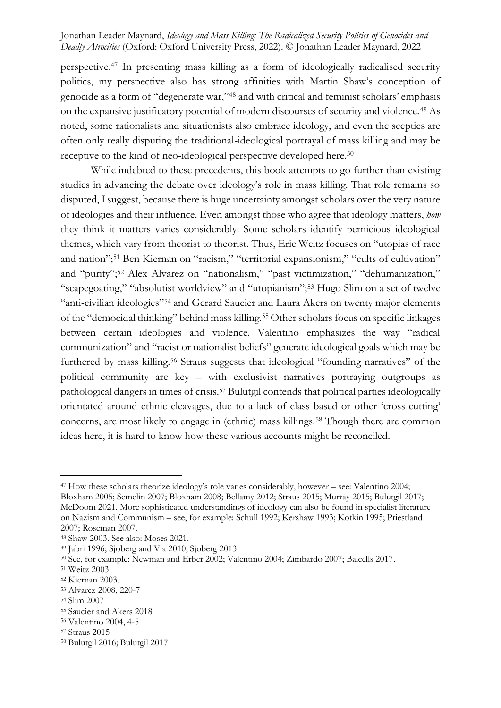perspective.<sup>47</sup> In presenting mass killing as a form of ideologically radicalised security politics, my perspective also has strong affinities with Martin Shaw's conception of genocide as a form of "degenerate war,"<sup>48</sup> and with critical and feminist scholars' emphasis on the expansive justificatory potential of modern discourses of security and violence.<sup>49</sup> As noted, some rationalists and situationists also embrace ideology, and even the sceptics are often only really disputing the traditional-ideological portrayal of mass killing and may be receptive to the kind of neo-ideological perspective developed here.<sup>50</sup>

While indebted to these precedents, this book attempts to go further than existing studies in advancing the debate over ideology's role in mass killing. That role remains so disputed, I suggest, because there is huge uncertainty amongst scholars over the very nature of ideologies and their influence. Even amongst those who agree that ideology matters, *how*  they think it matters varies considerably. Some scholars identify pernicious ideological themes, which vary from theorist to theorist. Thus, Eric Weitz focuses on "utopias of race and nation"; <sup>51</sup> Ben Kiernan on "racism," "territorial expansionism," "cults of cultivation" and "purity";<sup>52</sup> Alex Alvarez on "nationalism," "past victimization," "dehumanization," "scapegoating," "absolutist worldview" and "utopianism";<sup>53</sup> Hugo Slim on a set of twelve "anti-civilian ideologies"<sup>54</sup> and Gerard Saucier and Laura Akers on twenty major elements of the "democidal thinking" behind mass killing.<sup>55</sup> Other scholars focus on specific linkages between certain ideologies and violence. Valentino emphasizes the way "radical communization" and "racist or nationalist beliefs" generate ideological goals which may be furthered by mass killing.<sup>56</sup> Straus suggests that ideological "founding narratives" of the political community are key – with exclusivist narratives portraying outgroups as pathological dangers in times of crisis.<sup>57</sup> Bulutgil contends that political parties ideologically orientated around ethnic cleavages, due to a lack of class-based or other 'cross-cutting' concerns, are most likely to engage in (ethnic) mass killings.<sup>58</sup> Though there are common ideas here, it is hard to know how these various accounts might be reconciled.

<sup>&</sup>lt;sup>47</sup> How these scholars theorize ideology's role varies considerably, however – see: Valentino 2004; Bloxham 2005; Semelin 2007; Bloxham 2008; Bellamy 2012; Straus 2015; Murray 2015; Bulutgil 2017; McDoom 2021. More sophisticated understandings of ideology can also be found in specialist literature on Nazism and Communism – see, for example: Schull 1992; Kershaw 1993; Kotkin 1995; Priestland 2007; Roseman 2007.

<sup>48</sup> Shaw 2003. See also: Moses 2021.

<sup>49</sup> Jabri 1996; Sjoberg and Via 2010; Sjoberg 2013

<sup>50</sup> See, for example: Newman and Erber 2002; Valentino 2004; Zimbardo 2007; Balcells 2017.

<sup>51</sup> Weitz 2003

<sup>52</sup> Kiernan 2003.

<sup>53</sup> Alvarez 2008, 220-7

<sup>54</sup> Slim 2007

<sup>55</sup> Saucier and Akers 2018

<sup>56</sup> Valentino 2004, 4-5

<sup>57</sup> Straus 2015

<sup>58</sup> Bulutgil 2016; Bulutgil 2017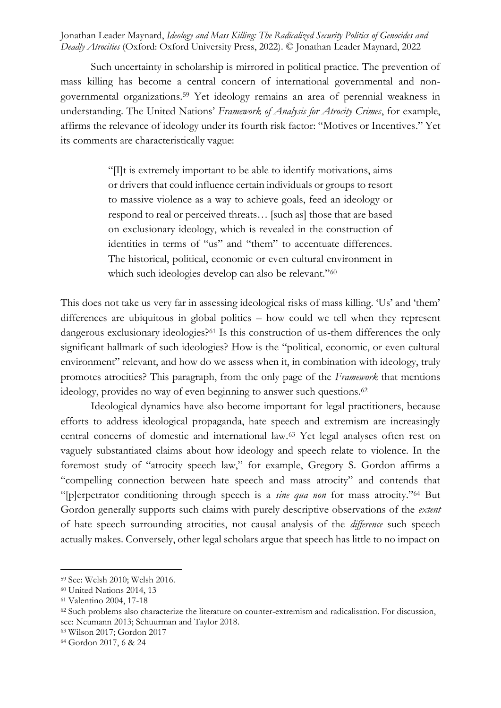Such uncertainty in scholarship is mirrored in political practice. The prevention of mass killing has become a central concern of international governmental and nongovernmental organizations.<sup>59</sup> Yet ideology remains an area of perennial weakness in understanding. The United Nations' *Framework of Analysis for Atrocity Crimes*, for example, affirms the relevance of ideology under its fourth risk factor: "Motives or Incentives." Yet its comments are characteristically vague:

> "[I]t is extremely important to be able to identify motivations, aims or drivers that could influence certain individuals or groups to resort to massive violence as a way to achieve goals, feed an ideology or respond to real or perceived threats… [such as] those that are based on exclusionary ideology, which is revealed in the construction of identities in terms of "us" and "them" to accentuate differences. The historical, political, economic or even cultural environment in which such ideologies develop can also be relevant."<sup>60</sup>

This does not take us very far in assessing ideological risks of mass killing. 'Us' and 'them' differences are ubiquitous in global politics – how could we tell when they represent dangerous exclusionary ideologies?<sup>61</sup> Is this construction of us-them differences the only significant hallmark of such ideologies? How is the "political, economic, or even cultural environment" relevant, and how do we assess when it, in combination with ideology, truly promotes atrocities? This paragraph, from the only page of the *Framework* that mentions ideology, provides no way of even beginning to answer such questions.<sup>62</sup>

Ideological dynamics have also become important for legal practitioners, because efforts to address ideological propaganda, hate speech and extremism are increasingly central concerns of domestic and international law.<sup>63</sup> Yet legal analyses often rest on vaguely substantiated claims about how ideology and speech relate to violence. In the foremost study of "atrocity speech law," for example, Gregory S. Gordon affirms a "compelling connection between hate speech and mass atrocity" and contends that "[p]erpetrator conditioning through speech is a *sine qua non* for mass atrocity."<sup>64</sup> But Gordon generally supports such claims with purely descriptive observations of the *extent* of hate speech surrounding atrocities, not causal analysis of the *difference* such speech actually makes. Conversely, other legal scholars argue that speech has little to no impact on

<sup>59</sup> See: Welsh 2010; Welsh 2016.

<sup>60</sup> United Nations 2014, 13

<sup>61</sup> Valentino 2004, 17-18

<sup>62</sup> Such problems also characterize the literature on counter-extremism and radicalisation. For discussion, see: Neumann 2013; Schuurman and Taylor 2018.

<sup>63</sup> Wilson 2017; Gordon 2017

<sup>64</sup> Gordon 2017, 6 & 24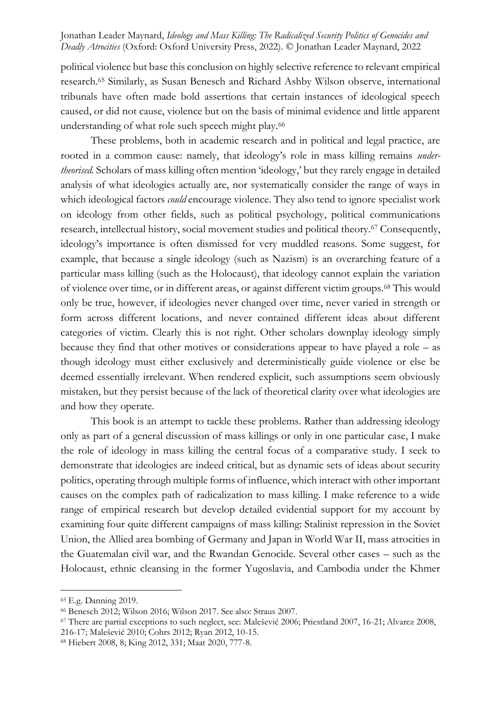political violence but base this conclusion on highly selective reference to relevant empirical research.<sup>65</sup> Similarly, as Susan Benesch and Richard Ashby Wilson observe, international tribunals have often made bold assertions that certain instances of ideological speech caused, or did not cause, violence but on the basis of minimal evidence and little apparent understanding of what role such speech might play.<sup>66</sup>

These problems, both in academic research and in political and legal practice, are rooted in a common cause: namely, that ideology's role in mass killing remains *undertheorised.* Scholars of mass killing often mention 'ideology,' but they rarely engage in detailed analysis of what ideologies actually are, nor systematically consider the range of ways in which ideological factors *could* encourage violence. They also tend to ignore specialist work on ideology from other fields, such as political psychology, political communications research, intellectual history, social movement studies and political theory.<sup>67</sup> Consequently, ideology's importance is often dismissed for very muddled reasons. Some suggest, for example, that because a single ideology (such as Nazism) is an overarching feature of a particular mass killing (such as the Holocaust), that ideology cannot explain the variation of violence over time, or in different areas, or against different victim groups.<sup>68</sup> This would only be true, however, if ideologies never changed over time, never varied in strength or form across different locations, and never contained different ideas about different categories of victim. Clearly this is not right. Other scholars downplay ideology simply because they find that other motives or considerations appear to have played a role – as though ideology must either exclusively and deterministically guide violence or else be deemed essentially irrelevant. When rendered explicit, such assumptions seem obviously mistaken, but they persist because of the lack of theoretical clarity over what ideologies are and how they operate.

This book is an attempt to tackle these problems. Rather than addressing ideology only as part of a general discussion of mass killings or only in one particular case, I make the role of ideology in mass killing the central focus of a comparative study. I seek to demonstrate that ideologies are indeed critical, but as dynamic sets of ideas about security politics, operating through multiple forms of influence, which interact with other important causes on the complex path of radicalization to mass killing. I make reference to a wide range of empirical research but develop detailed evidential support for my account by examining four quite different campaigns of mass killing: Stalinist repression in the Soviet Union, the Allied area bombing of Germany and Japan in World War II, mass atrocities in the Guatemalan civil war, and the Rwandan Genocide. Several other cases – such as the Holocaust, ethnic cleansing in the former Yugoslavia, and Cambodia under the Khmer

<sup>65</sup> E.g. Danning 2019.

<sup>66</sup> Benesch 2012; Wilson 2016; Wilson 2017. See also: Straus 2007.

<sup>67</sup> There are partial exceptions to such neglect, see: Malešević 2006; Priestland 2007, 16-21; Alvarez 2008, 216-17; Malešević 2010; Cohrs 2012; Ryan 2012, 10-15.

<sup>68</sup> Hiebert 2008, 8; King 2012, 331; Maat 2020, 777-8.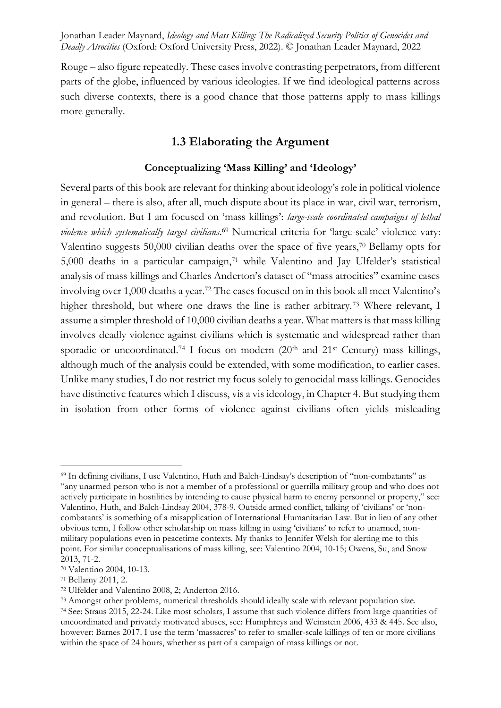Rouge – also figure repeatedly. These cases involve contrasting perpetrators, from different parts of the globe, influenced by various ideologies. If we find ideological patterns across such diverse contexts, there is a good chance that those patterns apply to mass killings more generally.

# **1.3 Elaborating the Argument**

#### **Conceptualizing 'Mass Killing' and 'Ideology'**

Several parts of this book are relevant for thinking about ideology's role in political violence in general – there is also, after all, much dispute about its place in war, civil war, terrorism, and revolution. But I am focused on 'mass killings': *large-scale coordinated campaigns of lethal violence which systematically target civilians*. <sup>69</sup> Numerical criteria for 'large-scale' violence vary: Valentino suggests 50,000 civilian deaths over the space of five years,<sup>70</sup> Bellamy opts for 5,000 deaths in a particular campaign,<sup>71</sup> while Valentino and Jay Ulfelder's statistical analysis of mass killings and Charles Anderton's dataset of "mass atrocities" examine cases involving over 1,000 deaths a year.<sup>72</sup> The cases focused on in this book all meet Valentino's higher threshold, but where one draws the line is rather arbitrary.<sup>73</sup> Where relevant, I assume a simpler threshold of 10,000 civilian deaths a year. What matters is that mass killing involves deadly violence against civilians which is systematic and widespread rather than sporadic or uncoordinated.<sup>74</sup> I focus on modern  $(20<sup>th</sup>$  and  $21<sup>st</sup>$  Century) mass killings, although much of the analysis could be extended, with some modification, to earlier cases. Unlike many studies, I do not restrict my focus solely to genocidal mass killings. Genocides have distinctive features which I discuss, vis a vis ideology, in Chapter 4. But studying them in isolation from other forms of violence against civilians often yields misleading

<sup>69</sup> In defining civilians, I use Valentino, Huth and Balch-Lindsay's description of "non-combatants" as "any unarmed person who is not a member of a professional or guerrilla military group and who does not actively participate in hostilities by intending to cause physical harm to enemy personnel or property," see: Valentino, Huth, and Balch-Lindsay 2004, 378-9. Outside armed conflict, talking of 'civilians' or 'noncombatants' is something of a misapplication of International Humanitarian Law. But in lieu of any other obvious term, I follow other scholarship on mass killing in using 'civilians' to refer to unarmed, nonmilitary populations even in peacetime contexts. My thanks to Jennifer Welsh for alerting me to this point. For similar conceptualisations of mass killing, see: Valentino 2004, 10-15; Owens, Su, and Snow 2013, 71-2.

<sup>70</sup> Valentino 2004, 10-13.

<sup>71</sup> Bellamy 2011, 2.

<sup>72</sup> Ulfelder and Valentino 2008, 2; Anderton 2016.

<sup>73</sup> Amongst other problems, numerical thresholds should ideally scale with relevant population size.

<sup>74</sup> See: Straus 2015, 22-24. Like most scholars, I assume that such violence differs from large quantities of uncoordinated and privately motivated abuses, see: Humphreys and Weinstein 2006, 433 & 445. See also, however: Barnes 2017. I use the term 'massacres' to refer to smaller-scale killings of ten or more civilians within the space of 24 hours, whether as part of a campaign of mass killings or not.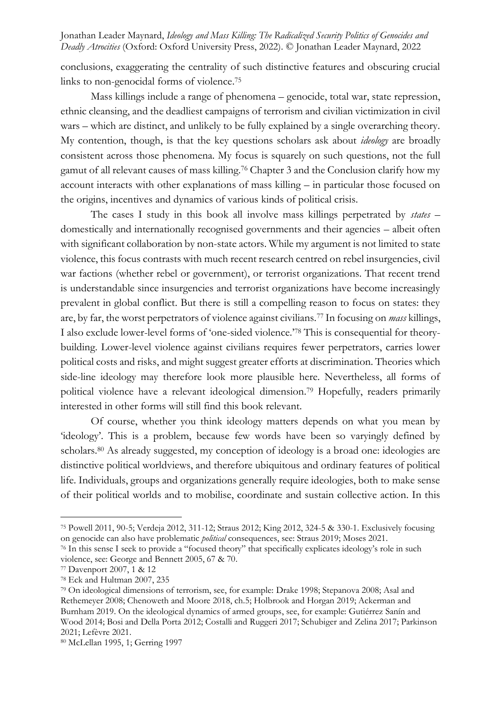conclusions, exaggerating the centrality of such distinctive features and obscuring crucial links to non-genocidal forms of violence.<sup>75</sup>

Mass killings include a range of phenomena – genocide, total war, state repression, ethnic cleansing, and the deadliest campaigns of terrorism and civilian victimization in civil wars – which are distinct, and unlikely to be fully explained by a single overarching theory. My contention, though, is that the key questions scholars ask about *ideology* are broadly consistent across those phenomena. My focus is squarely on such questions, not the full gamut of all relevant causes of mass killing.<sup>76</sup> Chapter 3 and the Conclusion clarify how my account interacts with other explanations of mass killing – in particular those focused on the origins, incentives and dynamics of various kinds of political crisis.

The cases I study in this book all involve mass killings perpetrated by *states* – domestically and internationally recognised governments and their agencies – albeit often with significant collaboration by non-state actors. While my argument is not limited to state violence, this focus contrasts with much recent research centred on rebel insurgencies, civil war factions (whether rebel or government), or terrorist organizations. That recent trend is understandable since insurgencies and terrorist organizations have become increasingly prevalent in global conflict. But there is still a compelling reason to focus on states: they are, by far, the worst perpetrators of violence against civilians.<sup>77</sup> In focusing on *mass* killings, I also exclude lower-level forms of 'one-sided violence.'<sup>78</sup> This is consequential for theorybuilding. Lower-level violence against civilians requires fewer perpetrators, carries lower political costs and risks, and might suggest greater efforts at discrimination. Theories which side-line ideology may therefore look more plausible here. Nevertheless, all forms of political violence have a relevant ideological dimension.<sup>79</sup> Hopefully, readers primarily interested in other forms will still find this book relevant.

Of course, whether you think ideology matters depends on what you mean by 'ideology'. This is a problem, because few words have been so varyingly defined by scholars.<sup>80</sup> As already suggested, my conception of ideology is a broad one: ideologies are distinctive political worldviews, and therefore ubiquitous and ordinary features of political life. Individuals, groups and organizations generally require ideologies, both to make sense of their political worlds and to mobilise, coordinate and sustain collective action. In this

<sup>75</sup> Powell 2011, 90-5; Verdeja 2012, 311-12; Straus 2012; King 2012, 324-5 & 330-1. Exclusively focusing on genocide can also have problematic *political* consequences, see: Straus 2019; Moses 2021.

<sup>&</sup>lt;sup>76</sup> In this sense I seek to provide a "focused theory" that specifically explicates ideology's role in such violence, see: George and Bennett 2005, 67 & 70.

<sup>77</sup> Davenport 2007, 1 & 12

<sup>78</sup> Eck and Hultman 2007, 235

<sup>79</sup> On ideological dimensions of terrorism, see, for example: Drake 1998; Stepanova 2008; Asal and Rethemeyer 2008; Chenoweth and Moore 2018, ch.5; Holbrook and Horgan 2019; Ackerman and Burnham 2019. On the ideological dynamics of armed groups, see, for example: Gutiérrez Sanín and Wood 2014; Bosi and Della Porta 2012; Costalli and Ruggeri 2017; Schubiger and Zelina 2017; Parkinson 2021; Lefèvre 2021.

<sup>80</sup> McLellan 1995, 1; Gerring 1997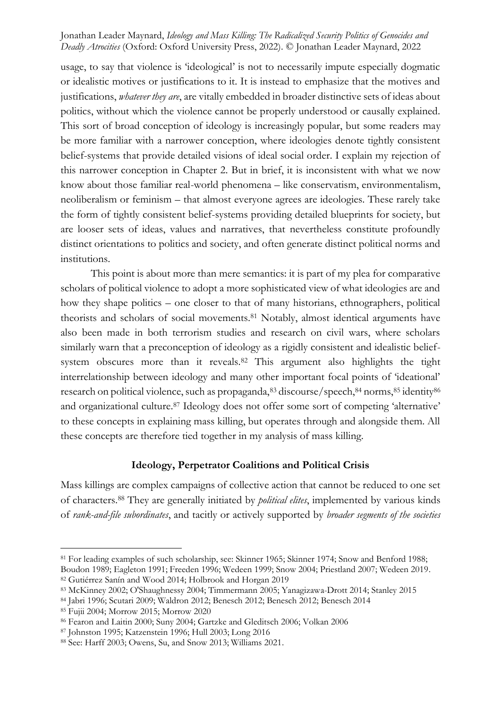usage, to say that violence is 'ideological' is not to necessarily impute especially dogmatic or idealistic motives or justifications to it. It is instead to emphasize that the motives and justifications, *whatever they are*, are vitally embedded in broader distinctive sets of ideas about politics, without which the violence cannot be properly understood or causally explained. This sort of broad conception of ideology is increasingly popular, but some readers may be more familiar with a narrower conception, where ideologies denote tightly consistent belief-systems that provide detailed visions of ideal social order. I explain my rejection of this narrower conception in Chapter 2. But in brief, it is inconsistent with what we now know about those familiar real-world phenomena – like conservatism, environmentalism, neoliberalism or feminism – that almost everyone agrees are ideologies. These rarely take the form of tightly consistent belief-systems providing detailed blueprints for society, but are looser sets of ideas, values and narratives, that nevertheless constitute profoundly distinct orientations to politics and society, and often generate distinct political norms and institutions.

This point is about more than mere semantics: it is part of my plea for comparative scholars of political violence to adopt a more sophisticated view of what ideologies are and how they shape politics – one closer to that of many historians, ethnographers, political theorists and scholars of social movements.<sup>81</sup> Notably, almost identical arguments have also been made in both terrorism studies and research on civil wars, where scholars similarly warn that a preconception of ideology as a rigidly consistent and idealistic beliefsystem obscures more than it reveals.<sup>82</sup> This argument also highlights the tight interrelationship between ideology and many other important focal points of 'ideational' research on political violence, such as propaganda, 83 discourse/speech, 84 norms, 85 identity 86 and organizational culture.<sup>87</sup> Ideology does not offer some sort of competing 'alternative' to these concepts in explaining mass killing, but operates through and alongside them. All these concepts are therefore tied together in my analysis of mass killing.

### **Ideology, Perpetrator Coalitions and Political Crisis**

Mass killings are complex campaigns of collective action that cannot be reduced to one set of characters.<sup>88</sup> They are generally initiated by *political elites*, implemented by various kinds of *rank-and-file subordinates*, and tacitly or actively supported by *broader segments of the societies* 

<sup>81</sup> For leading examples of such scholarship, see: Skinner 1965; Skinner 1974; Snow and Benford 1988; Boudon 1989; Eagleton 1991; Freeden 1996; Wedeen 1999; Snow 2004; Priestland 2007; Wedeen 2019.

<sup>82</sup> Gutiérrez Sanín and Wood 2014; Holbrook and Horgan 2019

<sup>83</sup> McKinney 2002; O'Shaughnessy 2004; Timmermann 2005; Yanagizawa-Drott 2014; Stanley 2015

<sup>84</sup> Jabri 1996; Scutari 2009; Waldron 2012; Benesch 2012; Benesch 2012; Benesch 2014

<sup>85</sup> Fujii 2004; Morrow 2015; Morrow 2020

<sup>86</sup> Fearon and Laitin 2000; Suny 2004; Gartzke and Gleditsch 2006; Volkan 2006

<sup>87</sup> Johnston 1995; Katzenstein 1996; Hull 2003; Long 2016

<sup>88</sup> See: Harff 2003; Owens, Su, and Snow 2013; Williams 2021.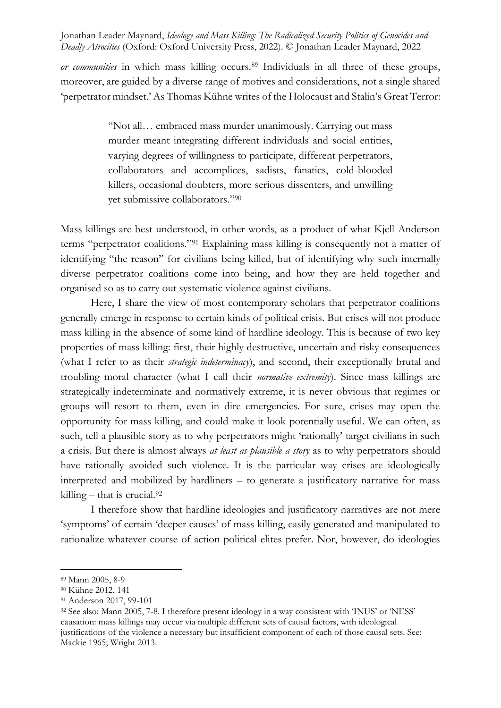*or communities* in which mass killing occurs.<sup>89</sup> Individuals in all three of these groups, moreover, are guided by a diverse range of motives and considerations, not a single shared 'perpetrator mindset.' As Thomas Kühne writes of the Holocaust and Stalin's Great Terror:

> "Not all… embraced mass murder unanimously. Carrying out mass murder meant integrating different individuals and social entities, varying degrees of willingness to participate, different perpetrators, collaborators and accomplices, sadists, fanatics, cold-blooded killers, occasional doubters, more serious dissenters, and unwilling yet submissive collaborators." 90

Mass killings are best understood, in other words, as a product of what Kjell Anderson terms "perpetrator coalitions."<sup>91</sup> Explaining mass killing is consequently not a matter of identifying "the reason" for civilians being killed, but of identifying why such internally diverse perpetrator coalitions come into being, and how they are held together and organised so as to carry out systematic violence against civilians.

Here, I share the view of most contemporary scholars that perpetrator coalitions generally emerge in response to certain kinds of political crisis. But crises will not produce mass killing in the absence of some kind of hardline ideology. This is because of two key properties of mass killing: first, their highly destructive, uncertain and risky consequences (what I refer to as their *strategic indeterminacy*), and second, their exceptionally brutal and troubling moral character (what I call their *normative extremity*). Since mass killings are strategically indeterminate and normatively extreme, it is never obvious that regimes or groups will resort to them, even in dire emergencies. For sure, crises may open the opportunity for mass killing, and could make it look potentially useful. We can often, as such, tell a plausible story as to why perpetrators might 'rationally' target civilians in such a crisis. But there is almost always *at least as plausible a story* as to why perpetrators should have rationally avoided such violence. It is the particular way crises are ideologically interpreted and mobilized by hardliners – to generate a justificatory narrative for mass killing – that is crucial.<sup>92</sup>

I therefore show that hardline ideologies and justificatory narratives are not mere 'symptoms' of certain 'deeper causes' of mass killing, easily generated and manipulated to rationalize whatever course of action political elites prefer. Nor, however, do ideologies

<sup>89</sup> Mann 2005, 8-9

<sup>90</sup> Kühne 2012, 141

<sup>91</sup> Anderson 2017, 99-101

<sup>92</sup> See also: Mann 2005, 7-8. I therefore present ideology in a way consistent with 'INUS' or 'NESS' causation: mass killings may occur via multiple different sets of causal factors, with ideological justifications of the violence a necessary but insufficient component of each of those causal sets. See: Mackie 1965; Wright 2013.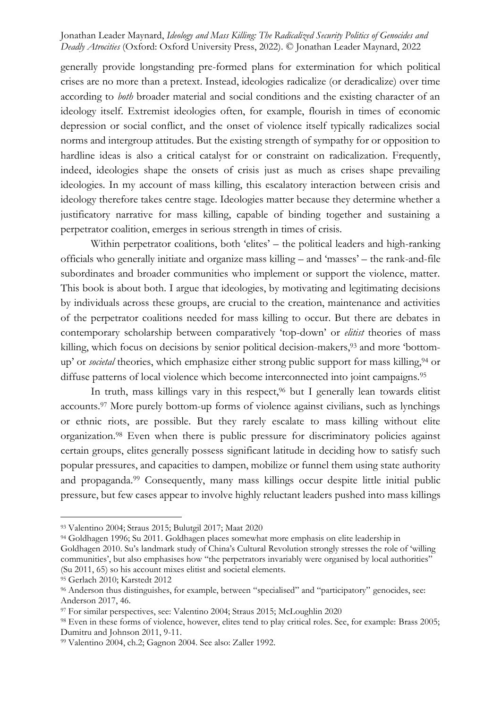generally provide longstanding pre-formed plans for extermination for which political crises are no more than a pretext. Instead, ideologies radicalize (or deradicalize) over time according to *both* broader material and social conditions and the existing character of an ideology itself. Extremist ideologies often, for example, flourish in times of economic depression or social conflict, and the onset of violence itself typically radicalizes social norms and intergroup attitudes. But the existing strength of sympathy for or opposition to hardline ideas is also a critical catalyst for or constraint on radicalization. Frequently, indeed, ideologies shape the onsets of crisis just as much as crises shape prevailing ideologies. In my account of mass killing, this escalatory interaction between crisis and ideology therefore takes centre stage. Ideologies matter because they determine whether a justificatory narrative for mass killing, capable of binding together and sustaining a perpetrator coalition, emerges in serious strength in times of crisis.

Within perpetrator coalitions, both 'elites' – the political leaders and high-ranking officials who generally initiate and organize mass killing – and 'masses' – the rank-and-file subordinates and broader communities who implement or support the violence, matter. This book is about both. I argue that ideologies, by motivating and legitimating decisions by individuals across these groups, are crucial to the creation, maintenance and activities of the perpetrator coalitions needed for mass killing to occur. But there are debates in contemporary scholarship between comparatively 'top-down' or *elitist* theories of mass killing, which focus on decisions by senior political decision-makers,<sup>93</sup> and more 'bottomup' or *societal* theories, which emphasize either strong public support for mass killing,<sup>94</sup> or diffuse patterns of local violence which become interconnected into joint campaigns.<sup>95</sup>

In truth, mass killings vary in this respect,<sup>96</sup> but I generally lean towards elitist accounts.<sup>97</sup> More purely bottom-up forms of violence against civilians, such as lynchings or ethnic riots, are possible. But they rarely escalate to mass killing without elite organization. <sup>98</sup> Even when there is public pressure for discriminatory policies against certain groups, elites generally possess significant latitude in deciding how to satisfy such popular pressures, and capacities to dampen, mobilize or funnel them using state authority and propaganda. <sup>99</sup> Consequently, many mass killings occur despite little initial public pressure, but few cases appear to involve highly reluctant leaders pushed into mass killings

<sup>93</sup> Valentino 2004; Straus 2015; Bulutgil 2017; Maat 2020

<sup>94</sup> Goldhagen 1996; Su 2011. Goldhagen places somewhat more emphasis on elite leadership in Goldhagen 2010. Su's landmark study of China's Cultural Revolution strongly stresses the role of 'willing communities', but also emphasises how "the perpetrators invariably were organised by local authorities" (Su 2011, 65) so his account mixes elitist and societal elements.

<sup>95</sup> Gerlach 2010; Karstedt 2012

<sup>96</sup> Anderson thus distinguishes, for example, between "specialised" and "participatory" genocides, see: Anderson 2017, 46.

<sup>97</sup> For similar perspectives, see: Valentino 2004; Straus 2015; McLoughlin 2020

<sup>98</sup> Even in these forms of violence, however, elites tend to play critical roles. See, for example: Brass 2005; Dumitru and Johnson 2011, 9-11.

<sup>99</sup> Valentino 2004, ch.2; Gagnon 2004. See also: Zaller 1992.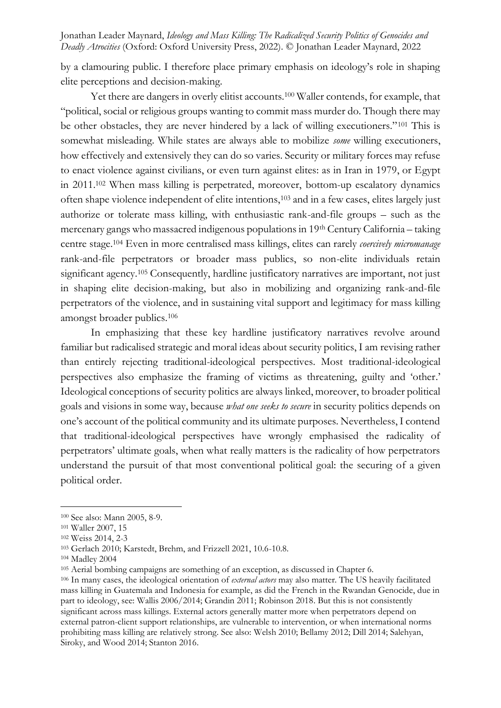by a clamouring public. I therefore place primary emphasis on ideology's role in shaping elite perceptions and decision-making.

Yet there are dangers in overly elitist accounts.<sup>100</sup> Waller contends, for example, that "political, social or religious groups wanting to commit mass murder do. Though there may be other obstacles, they are never hindered by a lack of willing executioners."<sup>101</sup> This is somewhat misleading. While states are always able to mobilize *some* willing executioners, how effectively and extensively they can do so varies. Security or military forces may refuse to enact violence against civilians, or even turn against elites: as in Iran in 1979, or Egypt in 2011.<sup>102</sup> When mass killing is perpetrated, moreover, bottom-up escalatory dynamics often shape violence independent of elite intentions,<sup>103</sup> and in a few cases, elites largely just authorize or tolerate mass killing, with enthusiastic rank-and-file groups – such as the mercenary gangs who massacred indigenous populations in 19th Century California – taking centre stage.<sup>104</sup> Even in more centralised mass killings, elites can rarely *coercively micromanage* rank-and-file perpetrators or broader mass publics, so non-elite individuals retain significant agency.<sup>105</sup> Consequently, hardline justificatory narratives are important, not just in shaping elite decision-making, but also in mobilizing and organizing rank-and-file perpetrators of the violence, and in sustaining vital support and legitimacy for mass killing amongst broader publics.<sup>106</sup>

In emphasizing that these key hardline justificatory narratives revolve around familiar but radicalised strategic and moral ideas about security politics, I am revising rather than entirely rejecting traditional-ideological perspectives. Most traditional-ideological perspectives also emphasize the framing of victims as threatening, guilty and 'other.' Ideological conceptions of security politics are always linked, moreover, to broader political goals and visions in some way, because *what one seeks to secure* in security politics depends on one's account of the political community and its ultimate purposes. Nevertheless, I contend that traditional-ideological perspectives have wrongly emphasised the radicality of perpetrators' ultimate goals, when what really matters is the radicality of how perpetrators understand the pursuit of that most conventional political goal: the securing of a given political order.

<sup>100</sup> See also: Mann 2005, 8-9.

<sup>101</sup> Waller 2007, 15

<sup>102</sup> Weiss 2014, 2-3

<sup>103</sup> Gerlach 2010; Karstedt, Brehm, and Frizzell 2021, 10.6-10.8.

<sup>104</sup> Madley 2004

<sup>105</sup> Aerial bombing campaigns are something of an exception, as discussed in Chapter 6.

<sup>106</sup> In many cases, the ideological orientation of *external actors* may also matter. The US heavily facilitated mass killing in Guatemala and Indonesia for example, as did the French in the Rwandan Genocide, due in part to ideology, see: Wallis 2006/2014; Grandin 2011; Robinson 2018. But this is not consistently significant across mass killings. External actors generally matter more when perpetrators depend on external patron-client support relationships, are vulnerable to intervention, or when international norms prohibiting mass killing are relatively strong. See also: Welsh 2010; Bellamy 2012; Dill 2014; Salehyan, Siroky, and Wood 2014; Stanton 2016.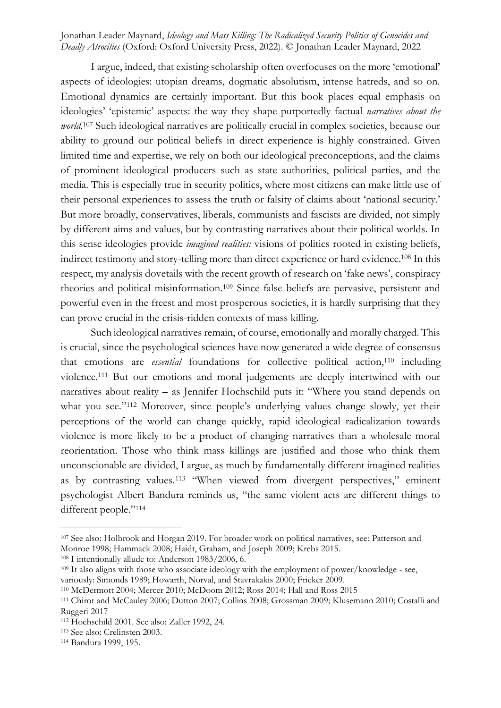I argue, indeed, that existing scholarship often overfocuses on the more 'emotional' aspects of ideologies: utopian dreams, dogmatic absolutism, intense hatreds, and so on. Emotional dynamics are certainly important. But this book places equal emphasis on ideologies' 'epistemic' aspects: the way they shape purportedly factual *narratives about the world*. <sup>107</sup> Such ideological narratives are politically crucial in complex societies, because our ability to ground our political beliefs in direct experience is highly constrained. Given limited time and expertise, we rely on both our ideological preconceptions, and the claims of prominent ideological producers such as state authorities, political parties, and the media. This is especially true in security politics, where most citizens can make little use of their personal experiences to assess the truth or falsity of claims about 'national security.' But more broadly, conservatives, liberals, communists and fascists are divided, not simply by different aims and values, but by contrasting narratives about their political worlds. In this sense ideologies provide *imagined realities:* visions of politics rooted in existing beliefs, indirect testimony and story-telling more than direct experience or hard evidence.<sup>108</sup> In this respect, my analysis dovetails with the recent growth of research on 'fake news', conspiracy theories and political misinformation.<sup>109</sup> Since false beliefs are pervasive, persistent and powerful even in the freest and most prosperous societies, it is hardly surprising that they can prove crucial in the crisis-ridden contexts of mass killing.

Such ideological narratives remain, of course, emotionally and morally charged. This is crucial, since the psychological sciences have now generated a wide degree of consensus that emotions are *essential* foundations for collective political action,<sup>110</sup> including violence.<sup>111</sup> But our emotions and moral judgements are deeply intertwined with our narratives about reality – as Jennifer Hochschild puts it: "Where you stand depends on what you see."<sup>112</sup> Moreover, since people's underlying values change slowly, yet their perceptions of the world can change quickly, rapid ideological radicalization towards violence is more likely to be a product of changing narratives than a wholesale moral reorientation. Those who think mass killings are justified and those who think them unconscionable are divided, I argue, as much by fundamentally different imagined realities as by contrasting values.<sup>113</sup> "When viewed from divergent perspectives," eminent psychologist Albert Bandura reminds us, "the same violent acts are different things to different people."<sup>114</sup>

<sup>107</sup> See also: Holbrook and Horgan 2019. For broader work on political narratives, see: Patterson and Monroe 1998; Hammack 2008; Haidt, Graham, and Joseph 2009; Krebs 2015.

<sup>108</sup> I intentionally allude to: Anderson 1983/2006, 6.

<sup>&</sup>lt;sup>109</sup> It also aligns with those who associate ideology with the employment of power/knowledge - see, variously: Simonds 1989; Howarth, Norval, and Stavrakakis 2000; Fricker 2009.

<sup>110</sup> McDermott 2004; Mercer 2010; McDoom 2012; Ross 2014; Hall and Ross 2015

<sup>111</sup> Chirot and McCauley 2006; Dutton 2007; Collins 2008; Grossman 2009; Klusemann 2010; Costalli and Ruggeri 2017

<sup>112</sup> Hochschild 2001. See also: Zaller 1992, 24.

<sup>113</sup> See also: Crelinsten 2003.

<sup>114</sup> Bandura 1999, 195.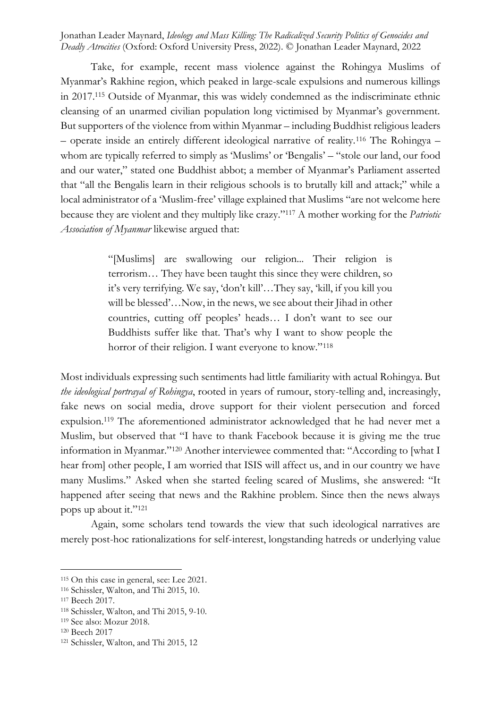Take, for example, recent mass violence against the Rohingya Muslims of Myanmar's Rakhine region, which peaked in large-scale expulsions and numerous killings in 2017.<sup>115</sup> Outside of Myanmar, this was widely condemned as the indiscriminate ethnic cleansing of an unarmed civilian population long victimised by Myanmar's government. But supporters of the violence from within Myanmar – including Buddhist religious leaders – operate inside an entirely different ideological narrative of reality.<sup>116</sup> The Rohingya – whom are typically referred to simply as 'Muslims' or 'Bengalis' – "stole our land, our food and our water," stated one Buddhist abbot; a member of Myanmar's Parliament asserted that "all the Bengalis learn in their religious schools is to brutally kill and attack;" while a local administrator of a 'Muslim-free' village explained that Muslims "are not welcome here because they are violent and they multiply like crazy."<sup>117</sup> A mother working for the *Patriotic Association of Myanmar* likewise argued that:

> "[Muslims] are swallowing our religion... Their religion is terrorism… They have been taught this since they were children, so it's very terrifying. We say, 'don't kill'…They say, 'kill, if you kill you will be blessed'…Now, in the news, we see about their Jihad in other countries, cutting off peoples' heads… I don't want to see our Buddhists suffer like that. That's why I want to show people the horror of their religion. I want everyone to know."<sup>118</sup>

Most individuals expressing such sentiments had little familiarity with actual Rohingya. But *the ideological portrayal of Rohingya*, rooted in years of rumour, story-telling and, increasingly, fake news on social media, drove support for their violent persecution and forced expulsion.<sup>119</sup> The aforementioned administrator acknowledged that he had never met a Muslim, but observed that "I have to thank Facebook because it is giving me the true information in Myanmar."<sup>120</sup> Another interviewee commented that: "According to [what I hear from] other people, I am worried that ISIS will affect us, and in our country we have many Muslims." Asked when she started feeling scared of Muslims, she answered: "It happened after seeing that news and the Rakhine problem. Since then the news always pops up about it."<sup>121</sup>

Again, some scholars tend towards the view that such ideological narratives are merely post-hoc rationalizations for self-interest, longstanding hatreds or underlying value

<sup>115</sup> On this case in general, see: Lee 2021.

<sup>116</sup> Schissler, Walton, and Thi 2015, 10.

<sup>117</sup> Beech 2017.

<sup>118</sup> Schissler, Walton, and Thi 2015, 9-10.

<sup>119</sup> See also: Mozur 2018.

<sup>120</sup> Beech 2017

<sup>121</sup> Schissler, Walton, and Thi 2015, 12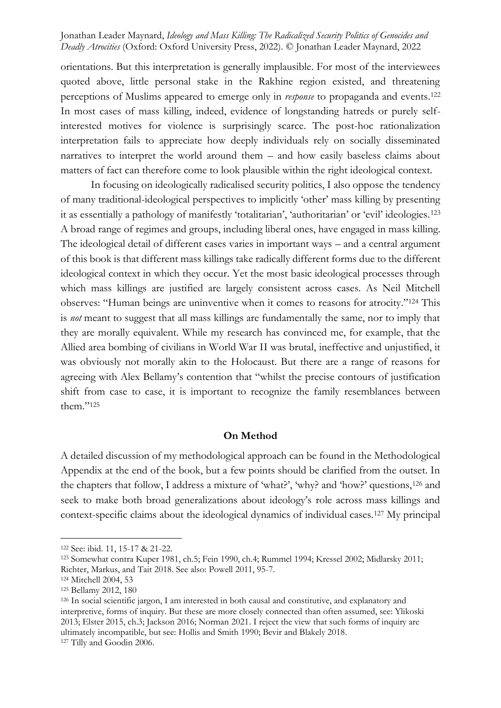orientations. But this interpretation is generally implausible. For most of the interviewees quoted above, little personal stake in the Rakhine region existed, and threatening perceptions of Muslims appeared to emerge only in *response* to propaganda and events.<sup>122</sup> In most cases of mass killing, indeed, evidence of longstanding hatreds or purely selfinterested motives for violence is surprisingly scarce. The post-hoc rationalization interpretation fails to appreciate how deeply individuals rely on socially disseminated narratives to interpret the world around them – and how easily baseless claims about matters of fact can therefore come to look plausible within the right ideological context.

In focusing on ideologically radicalised security politics, I also oppose the tendency of many traditional-ideological perspectives to implicitly 'other' mass killing by presenting it as essentially a pathology of manifestly 'totalitarian', 'authoritarian' or 'evil' ideologies.<sup>123</sup> A broad range of regimes and groups, including liberal ones, have engaged in mass killing. The ideological detail of different cases varies in important ways – and a central argument of this book is that different mass killings take radically different forms due to the different ideological context in which they occur. Yet the most basic ideological processes through which mass killings are justified are largely consistent across cases. As Neil Mitchell observes: "Human beings are uninventive when it comes to reasons for atrocity."<sup>124</sup> This is *not* meant to suggest that all mass killings are fundamentally the same, nor to imply that they are morally equivalent. While my research has convinced me, for example, that the Allied area bombing of civilians in World War II was brutal, ineffective and unjustified, it was obviously not morally akin to the Holocaust. But there are a range of reasons for agreeing with Alex Bellamy's contention that "whilst the precise contours of justification shift from case to case, it is important to recognize the family resemblances between them."<sup>125</sup>

#### **On Method**

A detailed discussion of my methodological approach can be found in the Methodological Appendix at the end of the book, but a few points should be clarified from the outset. In the chapters that follow, I address a mixture of 'what?', 'why? and 'how?' questions,<sup>126</sup> and seek to make both broad generalizations about ideology's role across mass killings and context-specific claims about the ideological dynamics of individual cases.<sup>127</sup> My principal

<sup>122</sup> See: ibid. 11, 15-17 & 21-22.

<sup>123</sup> Somewhat contra Kuper 1981, ch.5; Fein 1990, ch.4; Rummel 1994; Kressel 2002; Midlarsky 2011; Richter, Markus, and Tait 2018. See also: Powell 2011, 95-7.

<sup>124</sup> Mitchell 2004, 53

<sup>125</sup> Bellamy 2012, 180

<sup>126</sup> In social scientific jargon, I am interested in both causal and constitutive, and explanatory and interpretive, forms of inquiry. But these are more closely connected than often assumed, see: Ylikoski 2013; Elster 2015, ch.3; Jackson 2016; Norman 2021. I reject the view that such forms of inquiry are ultimately incompatible, but see: Hollis and Smith 1990; Bevir and Blakely 2018.

<sup>127</sup> Tilly and Goodin 2006.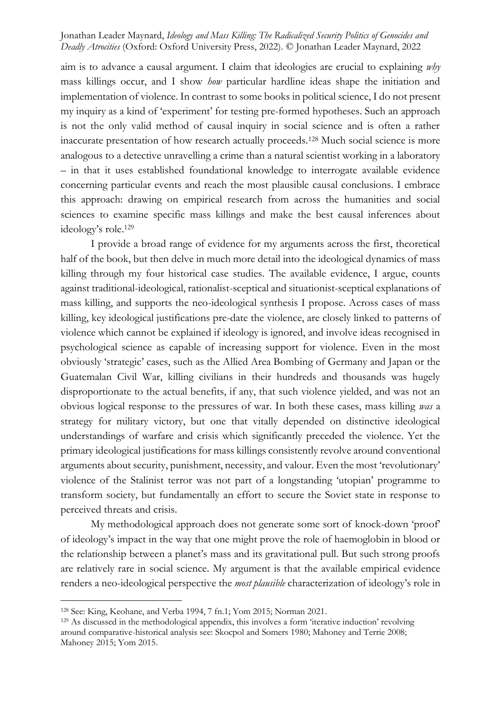aim is to advance a causal argument. I claim that ideologies are crucial to explaining *why* mass killings occur, and I show *how* particular hardline ideas shape the initiation and implementation of violence. In contrast to some books in political science, I do not present my inquiry as a kind of 'experiment' for testing pre-formed hypotheses. Such an approach is not the only valid method of causal inquiry in social science and is often a rather inaccurate presentation of how research actually proceeds.<sup>128</sup> Much social science is more analogous to a detective unravelling a crime than a natural scientist working in a laboratory – in that it uses established foundational knowledge to interrogate available evidence concerning particular events and reach the most plausible causal conclusions. I embrace this approach: drawing on empirical research from across the humanities and social sciences to examine specific mass killings and make the best causal inferences about ideology's role. 129

I provide a broad range of evidence for my arguments across the first, theoretical half of the book, but then delve in much more detail into the ideological dynamics of mass killing through my four historical case studies. The available evidence, I argue, counts against traditional-ideological, rationalist-sceptical and situationist-sceptical explanations of mass killing, and supports the neo-ideological synthesis I propose. Across cases of mass killing, key ideological justifications pre-date the violence, are closely linked to patterns of violence which cannot be explained if ideology is ignored, and involve ideas recognised in psychological science as capable of increasing support for violence. Even in the most obviously 'strategic' cases, such as the Allied Area Bombing of Germany and Japan or the Guatemalan Civil War, killing civilians in their hundreds and thousands was hugely disproportionate to the actual benefits, if any, that such violence yielded, and was not an obvious logical response to the pressures of war. In both these cases, mass killing *was* a strategy for military victory, but one that vitally depended on distinctive ideological understandings of warfare and crisis which significantly preceded the violence. Yet the primary ideological justifications for mass killings consistently revolve around conventional arguments about security, punishment, necessity, and valour. Even the most 'revolutionary' violence of the Stalinist terror was not part of a longstanding 'utopian' programme to transform society, but fundamentally an effort to secure the Soviet state in response to perceived threats and crisis.

My methodological approach does not generate some sort of knock-down 'proof' of ideology's impact in the way that one might prove the role of haemoglobin in blood or the relationship between a planet's mass and its gravitational pull. But such strong proofs are relatively rare in social science. My argument is that the available empirical evidence renders a neo-ideological perspective the *most plausible* characterization of ideology's role in

<sup>128</sup> See: King, Keohane, and Verba 1994, 7 fn.1; Yom 2015; Norman 2021.

<sup>129</sup> As discussed in the methodological appendix, this involves a form 'iterative induction' revolving around comparative-historical analysis see: Skocpol and Somers 1980; Mahoney and Terrie 2008; Mahoney 2015; Yom 2015.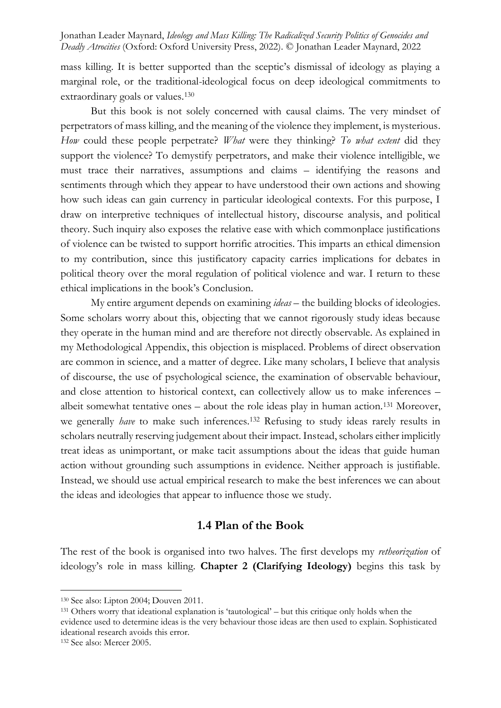mass killing. It is better supported than the sceptic's dismissal of ideology as playing a marginal role, or the traditional-ideological focus on deep ideological commitments to extraordinary goals or values.<sup>130</sup>

But this book is not solely concerned with causal claims. The very mindset of perpetrators of mass killing, and the meaning of the violence they implement, is mysterious. *How* could these people perpetrate? *What* were they thinking? *To what extent* did they support the violence? To demystify perpetrators, and make their violence intelligible, we must trace their narratives, assumptions and claims – identifying the reasons and sentiments through which they appear to have understood their own actions and showing how such ideas can gain currency in particular ideological contexts. For this purpose, I draw on interpretive techniques of intellectual history, discourse analysis, and political theory. Such inquiry also exposes the relative ease with which commonplace justifications of violence can be twisted to support horrific atrocities. This imparts an ethical dimension to my contribution, since this justificatory capacity carries implications for debates in political theory over the moral regulation of political violence and war. I return to these ethical implications in the book's Conclusion.

My entire argument depends on examining *ideas* – the building blocks of ideologies. Some scholars worry about this, objecting that we cannot rigorously study ideas because they operate in the human mind and are therefore not directly observable. As explained in my Methodological Appendix, this objection is misplaced. Problems of direct observation are common in science, and a matter of degree. Like many scholars, I believe that analysis of discourse, the use of psychological science, the examination of observable behaviour, and close attention to historical context, can collectively allow us to make inferences – albeit somewhat tentative ones – about the role ideas play in human action.<sup>131</sup> Moreover, we generally *have* to make such inferences.<sup>132</sup> Refusing to study ideas rarely results in scholars neutrally reserving judgement about their impact. Instead, scholars either implicitly treat ideas as unimportant, or make tacit assumptions about the ideas that guide human action without grounding such assumptions in evidence. Neither approach is justifiable. Instead, we should use actual empirical research to make the best inferences we can about the ideas and ideologies that appear to influence those we study.

#### **1.4 Plan of the Book**

The rest of the book is organised into two halves. The first develops my *retheorization* of ideology's role in mass killing. **Chapter 2 (Clarifying Ideology)** begins this task by

<sup>131</sup> Others worry that ideational explanation is 'tautological' – but this critique only holds when the evidence used to determine ideas is the very behaviour those ideas are then used to explain. Sophisticated ideational research avoids this error.

<sup>130</sup> See also: Lipton 2004; Douven 2011.

<sup>132</sup> See also: Mercer 2005.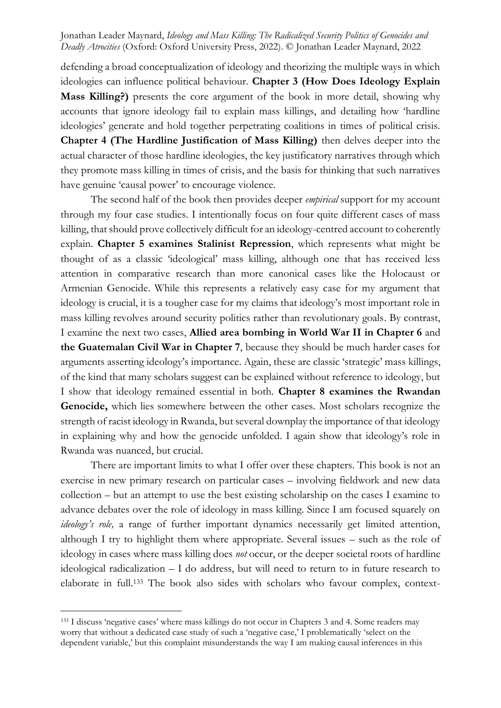defending a broad conceptualization of ideology and theorizing the multiple ways in which ideologies can influence political behaviour. **Chapter 3 (How Does Ideology Explain Mass Killing?)** presents the core argument of the book in more detail, showing why accounts that ignore ideology fail to explain mass killings, and detailing how 'hardline ideologies' generate and hold together perpetrating coalitions in times of political crisis. **Chapter 4 (The Hardline Justification of Mass Killing)** then delves deeper into the actual character of those hardline ideologies, the key justificatory narratives through which they promote mass killing in times of crisis, and the basis for thinking that such narratives have genuine 'causal power' to encourage violence.

The second half of the book then provides deeper *empirical* support for my account through my four case studies. I intentionally focus on four quite different cases of mass killing, that should prove collectively difficult for an ideology-centred account to coherently explain. **Chapter 5 examines Stalinist Repression**, which represents what might be thought of as a classic 'ideological' mass killing, although one that has received less attention in comparative research than more canonical cases like the Holocaust or Armenian Genocide. While this represents a relatively easy case for my argument that ideology is crucial, it is a tougher case for my claims that ideology's most important role in mass killing revolves around security politics rather than revolutionary goals. By contrast, I examine the next two cases, **Allied area bombing in World War II in Chapter 6** and **the Guatemalan Civil War in Chapter 7**, because they should be much harder cases for arguments asserting ideology's importance. Again, these are classic 'strategic' mass killings, of the kind that many scholars suggest can be explained without reference to ideology, but I show that ideology remained essential in both. **Chapter 8 examines the Rwandan Genocide,** which lies somewhere between the other cases. Most scholars recognize the strength of racist ideology in Rwanda, but several downplay the importance of that ideology in explaining why and how the genocide unfolded. I again show that ideology's role in Rwanda was nuanced, but crucial.

There are important limits to what I offer over these chapters. This book is not an exercise in new primary research on particular cases – involving fieldwork and new data collection – but an attempt to use the best existing scholarship on the cases I examine to advance debates over the role of ideology in mass killing. Since I am focused squarely on *ideology's role,* a range of further important dynamics necessarily get limited attention, although I try to highlight them where appropriate. Several issues – such as the role of ideology in cases where mass killing does *not* occur, or the deeper societal roots of hardline ideological radicalization – I do address, but will need to return to in future research to elaborate in full.<sup>133</sup> The book also sides with scholars who favour complex, context-

<sup>133</sup> I discuss 'negative cases' where mass killings do not occur in Chapters 3 and 4. Some readers may worry that without a dedicated case study of such a 'negative case,' I problematically 'select on the dependent variable,' but this complaint misunderstands the way I am making causal inferences in this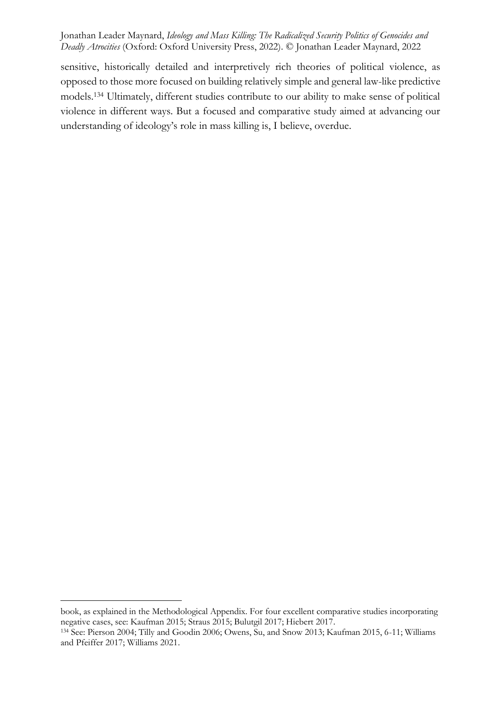sensitive, historically detailed and interpretively rich theories of political violence, as opposed to those more focused on building relatively simple and general law-like predictive models.<sup>134</sup> Ultimately, different studies contribute to our ability to make sense of political violence in different ways. But a focused and comparative study aimed at advancing our understanding of ideology's role in mass killing is, I believe, overdue.

book, as explained in the Methodological Appendix. For four excellent comparative studies incorporating negative cases, see: Kaufman 2015; Straus 2015; Bulutgil 2017; Hiebert 2017.

<sup>134</sup> See: Pierson 2004; Tilly and Goodin 2006; Owens, Su, and Snow 2013; Kaufman 2015, 6-11; Williams and Pfeiffer 2017; Williams 2021.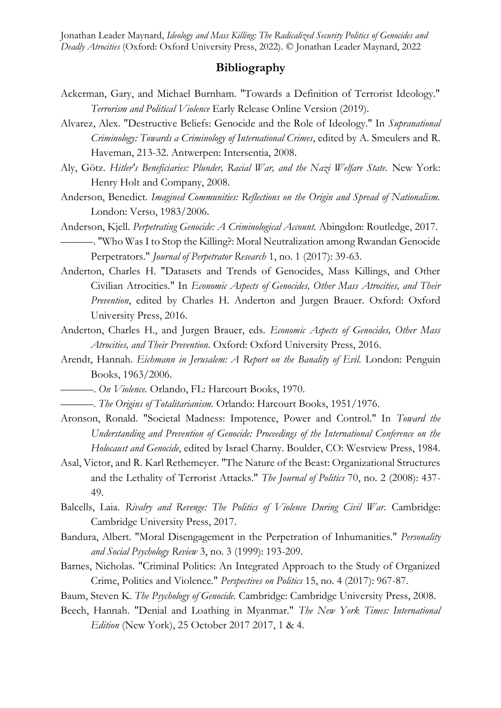# **Bibliography**

- Ackerman, Gary, and Michael Burnham. "Towards a Definition of Terrorist Ideology." *Terrorism and Political Violence* Early Release Online Version (2019).
- Alvarez, Alex. "Destructive Beliefs: Genocide and the Role of Ideology." In *Supranational Criminology: Towards a Criminology of International Crimes*, edited by A. Smeulers and R. Haveman, 213-32. Antwerpen: Intersentia, 2008.
- Aly, Götz. *Hitler's Beneficiaries: Plunder, Racial War, and the Nazi Welfare State.* New York: Henry Holt and Company, 2008.
- Anderson, Benedict. *Imagined Communities: Reflections on the Origin and Spread of Nationalism.* London: Verso, 1983/2006.
- Anderson, Kjell. *Perpetrating Genocide: A Criminological Account.* Abingdon: Routledge, 2017. ———. "Who Was I to Stop the Killing?: Moral Neutralization among Rwandan Genocide Perpetrators." *Journal of Perpetrator Research* 1, no. 1 (2017): 39-63.
- Anderton, Charles H. "Datasets and Trends of Genocides, Mass Killings, and Other Civilian Atrocities." In *Economic Aspects of Genocides, Other Mass Atrocities, and Their Prevention*, edited by Charles H. Anderton and Jurgen Brauer. Oxford: Oxford University Press, 2016.
- Anderton, Charles H., and Jurgen Brauer, eds. *Economic Aspects of Genocides, Other Mass Atrocities, and Their Prevention*. Oxford: Oxford University Press, 2016.
- Arendt, Hannah. *Eichmann in Jerusalem: A Report on the Banality of Evil.* London: Penguin Books, 1963/2006.
- ———. *On Violence.* Orlando, FL: Harcourt Books, 1970.
- ———. *The Origins of Totalitarianism.* Orlando: Harcourt Books, 1951/1976.
- Aronson, Ronald. "Societal Madness: Impotence, Power and Control." In *Toward the Understanding and Prevention of Genocide: Proceedings of the International Conference on the Holocaust and Genocide*, edited by Israel Charny. Boulder, CO: Westview Press, 1984.
- Asal, Victor, and R. Karl Rethemeyer. "The Nature of the Beast: Organizational Structures and the Lethality of Terrorist Attacks." *The Journal of Politics* 70, no. 2 (2008): 437- 49.
- Balcells, Laia. *Rivalry and Revenge: The Politics of Violence During Civil War.* Cambridge: Cambridge University Press, 2017.
- Bandura, Albert. "Moral Disengagement in the Perpetration of Inhumanities." *Personality and Social Psychology Review* 3, no. 3 (1999): 193-209.
- Barnes, Nicholas. "Criminal Politics: An Integrated Approach to the Study of Organized Crime, Politics and Violence." *Perspectives on Politics* 15, no. 4 (2017): 967-87.
- Baum, Steven K. *The Psychology of Genocide.* Cambridge: Cambridge University Press, 2008.
- Beech, Hannah. "Denial and Loathing in Myanmar." *The New York Times: International Edition* (New York), 25 October 2017 2017, 1 & 4.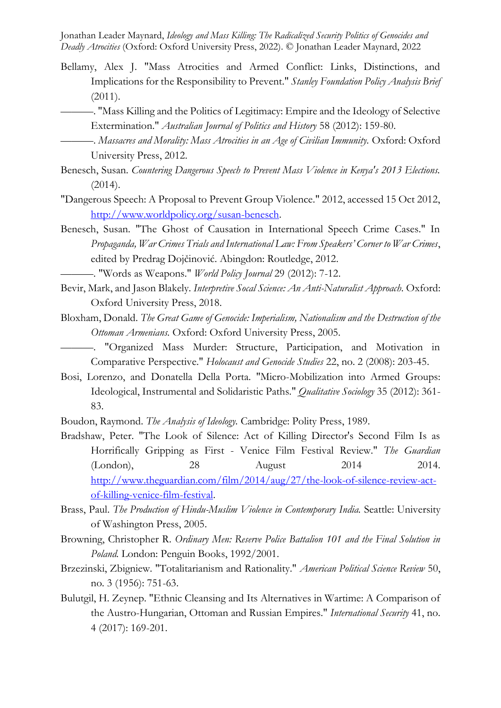- Bellamy, Alex J. "Mass Atrocities and Armed Conflict: Links, Distinctions, and Implications for the Responsibility to Prevent." *Stanley Foundation Policy Analysis Brief*  (2011).
	- ———. "Mass Killing and the Politics of Legitimacy: Empire and the Ideology of Selective Extermination." *Australian Journal of Politics and History* 58 (2012): 159-80.
	- ———. *Massacres and Morality: Mass Atrocities in an Age of Civilian Immunity.* Oxford: Oxford University Press, 2012.
- Benesch, Susan. *Countering Dangerous Speech to Prevent Mass Violence in Kenya's 2013 Elections.*  (2014).
- "Dangerous Speech: A Proposal to Prevent Group Violence." 2012, accessed 15 Oct 2012, [http://www.worldpolicy.org/susan-benesch.](http://www.worldpolicy.org/susan-benesch)
- Benesch, Susan. "The Ghost of Causation in International Speech Crime Cases." In *Propaganda, War Crimes Trials and International Law: From Speakers' Corner to War Crimes*, edited by Predrag Dojčinović. Abingdon: Routledge, 2012.

———. "Words as Weapons." *World Policy Journal* 29 (2012): 7-12.

- Bevir, Mark, and Jason Blakely. *Interpretive Socal Science: An Anti-Naturalist Approach.* Oxford: Oxford University Press, 2018.
- Bloxham, Donald. *The Great Game of Genocide: Imperialism, Nationalism and the Destruction of the Ottoman Armenians.* Oxford: Oxford University Press, 2005.
	- "Organized Mass Murder: Structure, Participation, and Motivation in Comparative Perspective." *Holocaust and Genocide Studies* 22, no. 2 (2008): 203-45.
- Bosi, Lorenzo, and Donatella Della Porta. "Micro-Mobilization into Armed Groups: Ideological, Instrumental and Solidaristic Paths." *Qualitative Sociology* 35 (2012): 361- 83.

Boudon, Raymond. *The Analysis of Ideology.* Cambridge: Polity Press, 1989.

- Bradshaw, Peter. "The Look of Silence: Act of Killing Director's Second Film Is as Horrifically Gripping as First - Venice Film Festival Review." *The Guardian* (London), 28 August 2014 2014. [http://www.theguardian.com/film/2014/aug/27/the-look-of-silence-review-act](http://www.theguardian.com/film/2014/aug/27/the-look-of-silence-review-act-of-killing-venice-film-festival)[of-killing-venice-film-festival.](http://www.theguardian.com/film/2014/aug/27/the-look-of-silence-review-act-of-killing-venice-film-festival)
- Brass, Paul. *The Production of Hindu-Muslim Violence in Contemporary India.* Seattle: University of Washington Press, 2005.
- Browning, Christopher R. *Ordinary Men: Reserve Police Battalion 101 and the Final Solution in Poland.* London: Penguin Books, 1992/2001.
- Brzezinski, Zbigniew. "Totalitarianism and Rationality." *American Political Science Review* 50, no. 3 (1956): 751-63.
- Bulutgil, H. Zeynep. "Ethnic Cleansing and Its Alternatives in Wartime: A Comparison of the Austro-Hungarian, Ottoman and Russian Empires." *International Security* 41, no. 4 (2017): 169-201.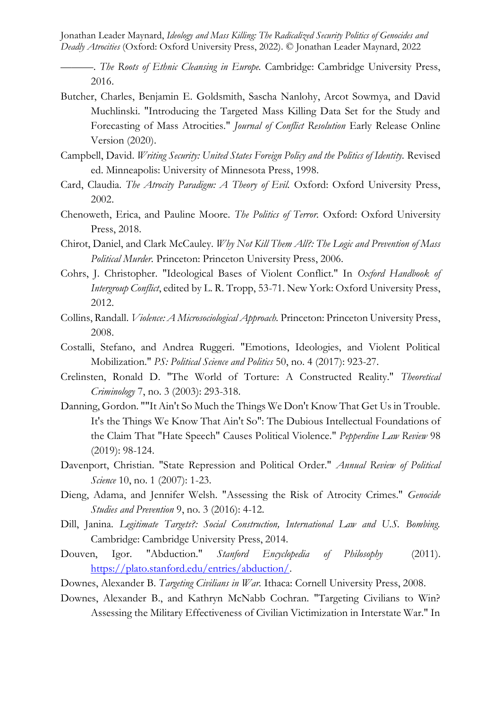———. *The Roots of Ethnic Cleansing in Europe.* Cambridge: Cambridge University Press, 2016.

- Butcher, Charles, Benjamin E. Goldsmith, Sascha Nanlohy, Arcot Sowmya, and David Muchlinski. "Introducing the Targeted Mass Killing Data Set for the Study and Forecasting of Mass Atrocities." *Journal of Conflict Resolution* Early Release Online Version (2020).
- Campbell, David. *Writing Security: United States Foreign Policy and the Politics of Identity.* Revised ed. Minneapolis: University of Minnesota Press, 1998.
- Card, Claudia. *The Atrocity Paradigm: A Theory of Evil.* Oxford: Oxford University Press, 2002.
- Chenoweth, Erica, and Pauline Moore. *The Politics of Terror.* Oxford: Oxford University Press, 2018.
- Chirot, Daniel, and Clark McCauley. *Why Not Kill Them All?: The Logic and Prevention of Mass Political Murder.* Princeton: Princeton University Press, 2006.
- Cohrs, J. Christopher. "Ideological Bases of Violent Conflict." In *Oxford Handbook of Intergroup Conflict*, edited by L. R. Tropp, 53-71. New York: Oxford University Press, 2012.
- Collins, Randall. *Violence: A Microsociological Approach.* Princeton: Princeton University Press, 2008.
- Costalli, Stefano, and Andrea Ruggeri. "Emotions, Ideologies, and Violent Political Mobilization." *PS: Political Science and Politics* 50, no. 4 (2017): 923-27.
- Crelinsten, Ronald D. "The World of Torture: A Constructed Reality." *Theoretical Criminology* 7, no. 3 (2003): 293-318.
- Danning, Gordon. ""It Ain't So Much the Things We Don't Know That Get Us in Trouble. It's the Things We Know That Ain't So": The Dubious Intellectual Foundations of the Claim That "Hate Speech" Causes Political Violence." *Pepperdine Law Review* 98 (2019): 98-124.
- Davenport, Christian. "State Repression and Political Order." *Annual Review of Political Science* 10, no. 1 (2007): 1-23.
- Dieng, Adama, and Jennifer Welsh. "Assessing the Risk of Atrocity Crimes." *Genocide Studies and Prevention* 9, no. 3 (2016): 4-12.
- Dill, Janina. *Legitimate Targets?: Social Construction, International Law and U.S. Bombing.* Cambridge: Cambridge University Press, 2014.
- Douven, Igor. "Abduction." *Stanford Encyclopedia of Philosophy* (2011). [https://plato.stanford.edu/entries/abduction/.](https://plato.stanford.edu/entries/abduction/)
- Downes, Alexander B. *Targeting Civilians in War.* Ithaca: Cornell University Press, 2008.
- Downes, Alexander B., and Kathryn McNabb Cochran. "Targeting Civilians to Win? Assessing the Military Effectiveness of Civilian Victimization in Interstate War." In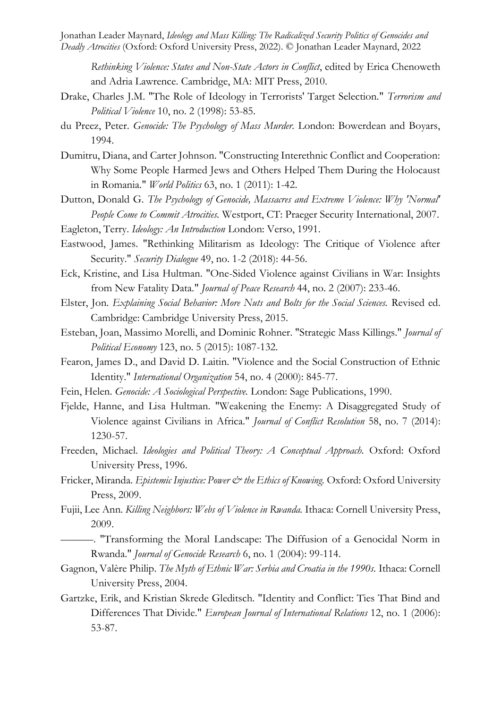*Rethinking Violence: States and Non-State Actors in Conflict*, edited by Erica Chenoweth and Adria Lawrence. Cambridge, MA: MIT Press, 2010.

- Drake, Charles J.M. "The Role of Ideology in Terrorists' Target Selection." *Terrorism and Political Violence* 10, no. 2 (1998): 53-85.
- du Preez, Peter. *Genocide: The Psychology of Mass Murder.* London: Bowerdean and Boyars, 1994.
- Dumitru, Diana, and Carter Johnson. "Constructing Interethnic Conflict and Cooperation: Why Some People Harmed Jews and Others Helped Them During the Holocaust in Romania." *World Politics* 63, no. 1 (2011): 1-42.
- Dutton, Donald G. *The Psychology of Genocide, Massacres and Extreme Violence: Why 'Normal' People Come to Commit Atrocities.* Westport, CT: Praeger Security International, 2007.
- Eagleton, Terry. *Ideology: An Introduction* London: Verso, 1991.
- Eastwood, James. "Rethinking Militarism as Ideology: The Critique of Violence after Security." *Security Dialogue* 49, no. 1-2 (2018): 44-56.
- Eck, Kristine, and Lisa Hultman. "One-Sided Violence against Civilians in War: Insights from New Fatality Data." *Journal of Peace Research* 44, no. 2 (2007): 233-46.
- Elster, Jon. *Explaining Social Behavior: More Nuts and Bolts for the Social Sciences.* Revised ed. Cambridge: Cambridge University Press, 2015.
- Esteban, Joan, Massimo Morelli, and Dominic Rohner. "Strategic Mass Killings." *Journal of Political Economy* 123, no. 5 (2015): 1087-132.
- Fearon, James D., and David D. Laitin. "Violence and the Social Construction of Ethnic Identity." *International Organization* 54, no. 4 (2000): 845-77.
- Fein, Helen. *Genocide: A Sociological Perspective.* London: Sage Publications, 1990.
- Fjelde, Hanne, and Lisa Hultman. "Weakening the Enemy: A Disaggregated Study of Violence against Civilians in Africa." *Journal of Conflict Resolution* 58, no. 7 (2014): 1230-57.
- Freeden, Michael. *Ideologies and Political Theory: A Conceptual Approach.* Oxford: Oxford University Press, 1996.
- Fricker, Miranda. *Epistemic Injustice: Power & the Ethics of Knowing*. Oxford: Oxford University Press, 2009.
- Fujii, Lee Ann. *Killing Neighbors: Webs of Violence in Rwanda.* Ithaca: Cornell University Press, 2009.
- ———. "Transforming the Moral Landscape: The Diffusion of a Genocidal Norm in Rwanda." *Journal of Genocide Research* 6, no. 1 (2004): 99-114.
- Gagnon, Valère Philip. *The Myth of Ethnic War: Serbia and Croatia in the 1990s.* Ithaca: Cornell University Press, 2004.
- Gartzke, Erik, and Kristian Skrede Gleditsch. "Identity and Conflict: Ties That Bind and Differences That Divide." *European Journal of International Relations* 12, no. 1 (2006): 53-87.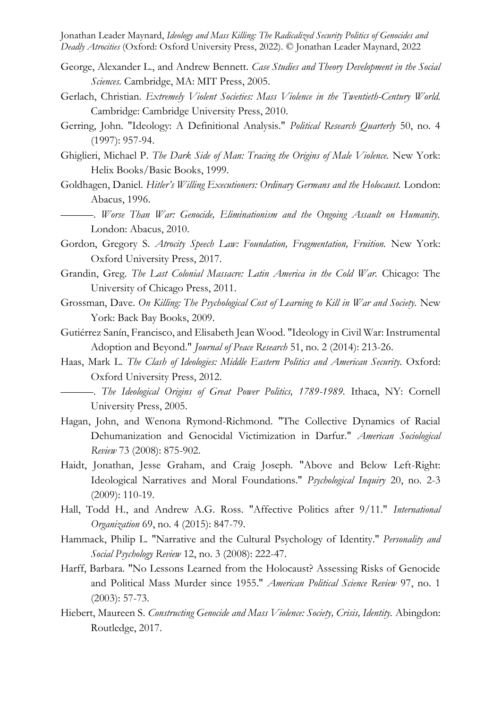- George, Alexander L., and Andrew Bennett. *Case Studies and Theory Development in the Social Sciences.* Cambridge, MA: MIT Press, 2005.
- Gerlach, Christian. *Extremely Violent Societies: Mass Violence in the Twentieth-Century World.* Cambridge: Cambridge University Press, 2010.
- Gerring, John. "Ideology: A Definitional Analysis." *Political Research Quarterly* 50, no. 4 (1997): 957-94.
- Ghiglieri, Michael P. *The Dark Side of Man: Tracing the Origins of Male Violence.* New York: Helix Books/Basic Books, 1999.
- Goldhagen, Daniel. *Hitler's Willing Executioners: Ordinary Germans and the Holocaust.* London: Abacus, 1996.
- ———. *Worse Than War: Genocide, Eliminationism and the Ongoing Assault on Humanity.* London: Abacus, 2010.
- Gordon, Gregory S. *Atrocity Speech Law: Foundation, Fragmentation, Fruition.* New York: Oxford University Press, 2017.
- Grandin, Greg. *The Last Colonial Massacre: Latin America in the Cold War.* Chicago: The University of Chicago Press, 2011.
- Grossman, Dave. *On Killing: The Psychological Cost of Learning to Kill in War and Society.* New York: Back Bay Books, 2009.
- Gutiérrez Sanín, Francisco, and Elisabeth Jean Wood. "Ideology in Civil War: Instrumental Adoption and Beyond." *Journal of Peace Research* 51, no. 2 (2014): 213-26.
- Haas, Mark L. *The Clash of Ideologies: Middle Eastern Politics and American Security.* Oxford: Oxford University Press, 2012.
	- ———. *The Ideological Origins of Great Power Politics, 1789-1989.* Ithaca, NY: Cornell University Press, 2005.
- Hagan, John, and Wenona Rymond-Richmond. "The Collective Dynamics of Racial Dehumanization and Genocidal Victimization in Darfur." *American Sociological Review* 73 (2008): 875-902.
- Haidt, Jonathan, Jesse Graham, and Craig Joseph. "Above and Below Left-Right: Ideological Narratives and Moral Foundations." *Psychological Inquiry* 20, no. 2-3 (2009): 110-19.
- Hall, Todd H., and Andrew A.G. Ross. "Affective Politics after 9/11." *International Organization* 69, no. 4 (2015): 847-79.
- Hammack, Philip L. "Narrative and the Cultural Psychology of Identity." *Personality and Social Psychology Review* 12, no. 3 (2008): 222-47.
- Harff, Barbara. "No Lessons Learned from the Holocaust? Assessing Risks of Genocide and Political Mass Murder since 1955." *American Political Science Review* 97, no. 1 (2003): 57-73.
- Hiebert, Maureen S. *Constructing Genocide and Mass Violence: Society, Crisis, Identity.* Abingdon: Routledge, 2017.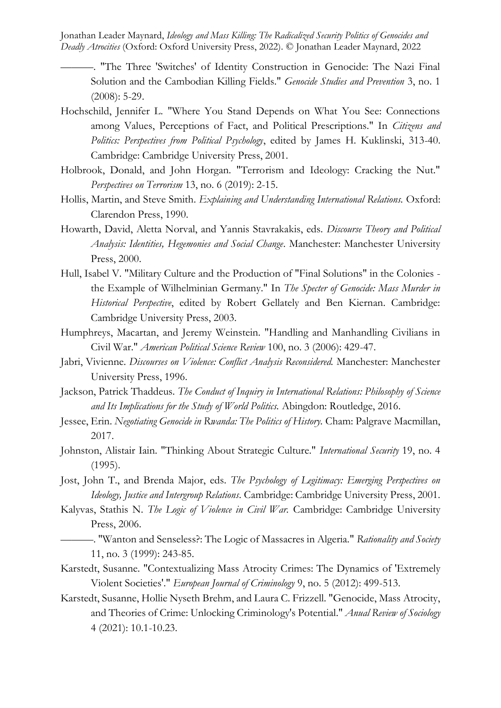- ———. "The Three 'Switches' of Identity Construction in Genocide: The Nazi Final Solution and the Cambodian Killing Fields." *Genocide Studies and Prevention* 3, no. 1 (2008): 5-29.
- Hochschild, Jennifer L. "Where You Stand Depends on What You See: Connections among Values, Perceptions of Fact, and Political Prescriptions." In *Citizens and Politics: Perspectives from Political Psychology*, edited by James H. Kuklinski, 313-40. Cambridge: Cambridge University Press, 2001.
- Holbrook, Donald, and John Horgan. "Terrorism and Ideology: Cracking the Nut." *Perspectives on Terrorism* 13, no. 6 (2019): 2-15.
- Hollis, Martin, and Steve Smith. *Explaining and Understanding International Relations.* Oxford: Clarendon Press, 1990.
- Howarth, David, Aletta Norval, and Yannis Stavrakakis, eds. *Discourse Theory and Political Analysis: Identities, Hegemonies and Social Change*. Manchester: Manchester University Press, 2000.
- Hull, Isabel V. "Military Culture and the Production of "Final Solutions" in the Colonies the Example of Wilhelminian Germany." In *The Specter of Genocide: Mass Murder in Historical Perspective*, edited by Robert Gellately and Ben Kiernan. Cambridge: Cambridge University Press, 2003.
- Humphreys, Macartan, and Jeremy Weinstein. "Handling and Manhandling Civilians in Civil War." *American Political Science Review* 100, no. 3 (2006): 429-47.
- Jabri, Vivienne. *Discourses on Violence: Conflict Analysis Reconsidered.* Manchester: Manchester University Press, 1996.
- Jackson, Patrick Thaddeus. *The Conduct of Inquiry in International Relations: Philosophy of Science and Its Implications for the Study of World Politics.* Abingdon: Routledge, 2016.
- Jessee, Erin. *Negotiating Genocide in Rwanda: The Politics of History.* Cham: Palgrave Macmillan, 2017.
- Johnston, Alistair Iain. "Thinking About Strategic Culture." *International Security* 19, no. 4 (1995).
- Jost, John T., and Brenda Major, eds. *The Psychology of Legitimacy: Emerging Perspectives on Ideology, Justice and Intergroup Relations*. Cambridge: Cambridge University Press, 2001.
- Kalyvas, Stathis N. *The Logic of Violence in Civil War.* Cambridge: Cambridge University Press, 2006.
	- ———. "Wanton and Senseless?: The Logic of Massacres in Algeria." *Rationality and Society*  11, no. 3 (1999): 243-85.
- Karstedt, Susanne. "Contextualizing Mass Atrocity Crimes: The Dynamics of 'Extremely Violent Societies'." *European Journal of Criminology* 9, no. 5 (2012): 499-513.
- Karstedt, Susanne, Hollie Nyseth Brehm, and Laura C. Frizzell. "Genocide, Mass Atrocity, and Theories of Crime: Unlocking Criminology's Potential." *Anual Review of Sociology*  4 (2021): 10.1-10.23.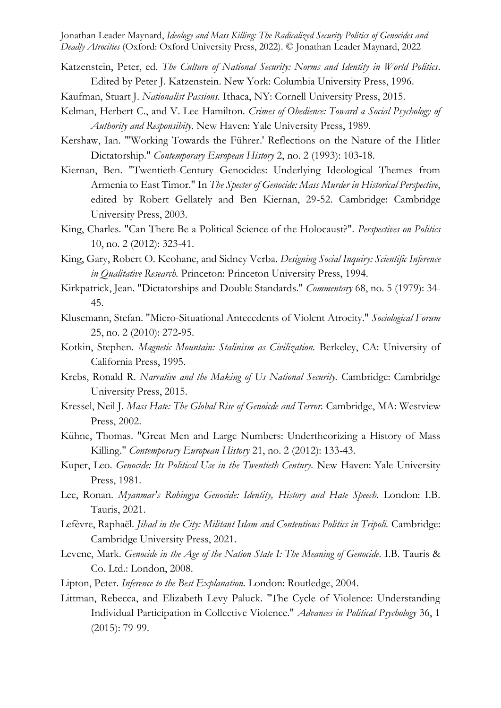- Katzenstein, Peter, ed. *The Culture of National Security: Norms and Identity in World Politics*. Edited by Peter J. Katzenstein. New York: Columbia University Press, 1996.
- Kaufman, Stuart J. *Nationalist Passions.* Ithaca, NY: Cornell University Press, 2015.
- Kelman, Herbert C., and V. Lee Hamilton. *Crimes of Obedience: Toward a Social Psychology of Authority and Responsibity.* New Haven: Yale University Press, 1989.
- Kershaw, Ian. "'Working Towards the Führer.' Reflections on the Nature of the Hitler Dictatorship." *Contemporary European History* 2, no. 2 (1993): 103-18.
- Kiernan, Ben. "Twentieth-Century Genocides: Underlying Ideological Themes from Armenia to East Timor." In *The Specter of Genocide: Mass Murder in Historical Perspective*, edited by Robert Gellately and Ben Kiernan, 29-52. Cambridge: Cambridge University Press, 2003.
- King, Charles. "Can There Be a Political Science of the Holocaust?". *Perspectives on Politics*  10, no. 2 (2012): 323-41.
- King, Gary, Robert O. Keohane, and Sidney Verba. *Designing Social Inquiry: Scientific Inference in Qualitative Research.* Princeton: Princeton University Press, 1994.
- Kirkpatrick, Jean. "Dictatorships and Double Standards." *Commentary* 68, no. 5 (1979): 34- 45.
- Klusemann, Stefan. "Micro-Situational Antecedents of Violent Atrocity." *Sociological Forum*  25, no. 2 (2010): 272-95.
- Kotkin, Stephen. *Magnetic Mountain: Stalinism as Civilization.* Berkeley, CA: University of California Press, 1995.
- Krebs, Ronald R. *Narrative and the Making of Us National Security.* Cambridge: Cambridge University Press, 2015.
- Kressel, Neil J. *Mass Hate: The Global Rise of Genoicde and Terror.* Cambridge, MA: Westview Press, 2002.
- Kühne, Thomas. "Great Men and Large Numbers: Undertheorizing a History of Mass Killing." *Contemporary European History* 21, no. 2 (2012): 133-43.
- Kuper, Leo. *Genocide: Its Political Use in the Twentieth Century.* New Haven: Yale University Press, 1981.
- Lee, Ronan. *Myanmar's Rohingya Genocide: Identity, History and Hate Speech.* London: I.B. Tauris, 2021.
- Lefèvre, Raphaël. *Jihad in the City: Militant Islam and Contentious Politics in Tripoli.* Cambridge: Cambridge University Press, 2021.
- Levene, Mark. *Genocide in the Age of the Nation State I: The Meaning of Genocide.* I.B. Tauris & Co. Ltd.: London, 2008.
- Lipton, Peter. *Inference to the Best Explanation.* London: Routledge, 2004.
- Littman, Rebecca, and Elizabeth Levy Paluck. "The Cycle of Violence: Understanding Individual Participation in Collective Violence." *Advances in Political Psychology* 36, 1 (2015): 79-99.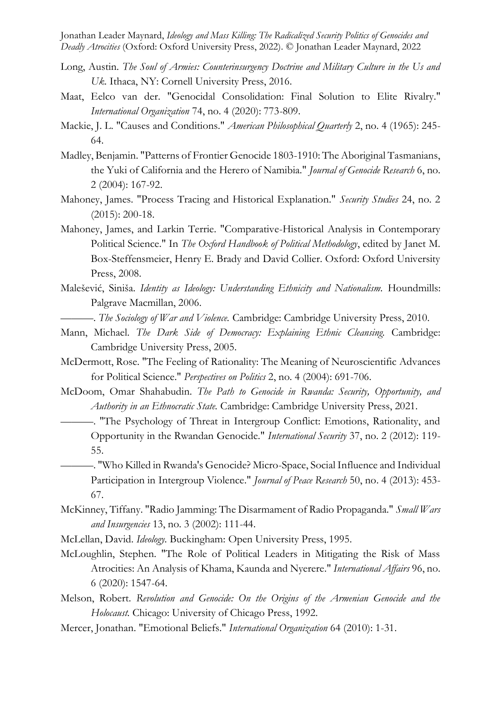- Long, Austin. *The Soul of Armies: Counterinsurgency Doctrine and Military Culture in the Us and Uk.* Ithaca, NY: Cornell University Press, 2016.
- Maat, Eelco van der. "Genocidal Consolidation: Final Solution to Elite Rivalry." *International Organization* 74, no. 4 (2020): 773-809.
- Mackie, J. L. "Causes and Conditions." *American Philosophical Quarterly* 2, no. 4 (1965): 245- 64.
- Madley, Benjamin. "Patterns of Frontier Genocide 1803-1910: The Aboriginal Tasmanians, the Yuki of California and the Herero of Namibia." *Journal of Genocide Research* 6, no. 2 (2004): 167-92.
- Mahoney, James. "Process Tracing and Historical Explanation." *Security Studies* 24, no. 2 (2015): 200-18.
- Mahoney, James, and Larkin Terrie. "Comparative-Historical Analysis in Contemporary Political Science." In *The Oxford Handbook of Political Methodology*, edited by Janet M. Box-Steffensmeier, Henry E. Brady and David Collier. Oxford: Oxford University Press, 2008.
- Malešević, Siniša. *Identity as Ideology: Understanding Ethnicity and Nationalism.* Houndmills: Palgrave Macmillan, 2006.
	- ———. *The Sociology of War and Violence.* Cambridge: Cambridge University Press, 2010.
- Mann, Michael. *The Dark Side of Democracy: Explaining Ethnic Cleansing.* Cambridge: Cambridge University Press, 2005.
- McDermott, Rose. "The Feeling of Rationality: The Meaning of Neuroscientific Advances for Political Science." *Perspectives on Politics* 2, no. 4 (2004): 691-706.
- McDoom, Omar Shahabudin. *The Path to Genocide in Rwanda: Security, Opportunity, and Authority in an Ethnocratic State.* Cambridge: Cambridge University Press, 2021.
	- ———. "The Psychology of Threat in Intergroup Conflict: Emotions, Rationality, and Opportunity in the Rwandan Genocide." *International Security* 37, no. 2 (2012): 119- 55.
	- ———. "Who Killed in Rwanda's Genocide? Micro-Space, Social Influence and Individual Participation in Intergroup Violence." *Journal of Peace Research* 50, no. 4 (2013): 453- 67.
- McKinney, Tiffany. "Radio Jamming: The Disarmament of Radio Propaganda." *Small Wars and Insurgencies* 13, no. 3 (2002): 111-44.
- McLellan, David. *Ideology.* Buckingham: Open University Press, 1995.
- McLoughlin, Stephen. "The Role of Political Leaders in Mitigating the Risk of Mass Atrocities: An Analysis of Khama, Kaunda and Nyerere." *International Affairs* 96, no. 6 (2020): 1547-64.
- Melson, Robert. *Revolution and Genocide: On the Origins of the Armenian Genocide and the Holocaust.* Chicago: University of Chicago Press, 1992.
- Mercer, Jonathan. "Emotional Beliefs." *International Organization* 64 (2010): 1-31.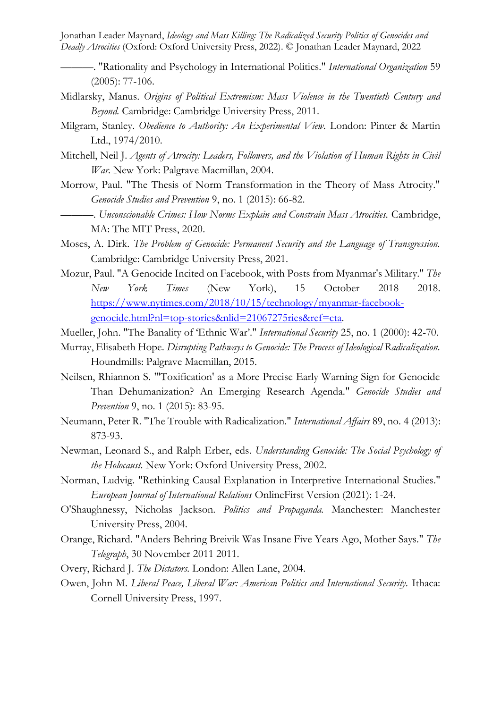- ———. "Rationality and Psychology in International Politics." *International Organization* 59 (2005): 77-106.
- Midlarsky, Manus. *Origins of Political Extremism: Mass Violence in the Twentieth Century and Beyond.* Cambridge: Cambridge University Press, 2011.
- Milgram, Stanley. *Obedience to Authority: An Experimental View.* London: Pinter & Martin Ltd., 1974/2010.
- Mitchell, Neil J. *Agents of Atrocity: Leaders, Followers, and the Violation of Human Rights in Civil War.* New York: Palgrave Macmillan, 2004.
- Morrow, Paul. "The Thesis of Norm Transformation in the Theory of Mass Atrocity." *Genocide Studies and Prevention* 9, no. 1 (2015): 66-82.
	- ———. *Unconscionable Crimes: How Norms Explain and Constrain Mass Atrocities.* Cambridge, MA: The MIT Press, 2020.
- Moses, A. Dirk. *The Problem of Genocide: Permanent Security and the Language of Transgression.* Cambridge: Cambridge University Press, 2021.
- Mozur, Paul. "A Genocide Incited on Facebook, with Posts from Myanmar's Military." *The New York Times* (New York), 15 October 2018 2018. [https://www.nytimes.com/2018/10/15/technology/myanmar-facebook](https://www.nytimes.com/2018/10/15/technology/myanmar-facebook-genocide.html?nl=top-stories&nlid=21067275ries&ref=cta)[genocide.html?nl=top-stories&nlid=21067275ries&ref=cta.](https://www.nytimes.com/2018/10/15/technology/myanmar-facebook-genocide.html?nl=top-stories&nlid=21067275ries&ref=cta)
- Mueller, John. "The Banality of 'Ethnic War'." *International Security* 25, no. 1 (2000): 42-70.
- Murray, Elisabeth Hope. *Disrupting Pathways to Genocide: The Process of Ideological Radicalization.* Houndmills: Palgrave Macmillan, 2015.
- Neilsen, Rhiannon S. "'Toxification' as a More Precise Early Warning Sign for Genocide Than Dehumanization? An Emerging Research Agenda." *Genocide Studies and Prevention* 9, no. 1 (2015): 83-95.
- Neumann, Peter R. "The Trouble with Radicalization." *International Affairs* 89, no. 4 (2013): 873-93.
- Newman, Leonard S., and Ralph Erber, eds. *Understanding Genocide: The Social Psychology of the Holocaust*. New York: Oxford University Press, 2002.
- Norman, Ludvig. "Rethinking Causal Explanation in Interpretive International Studies." *European Journal of International Relations* OnlineFirst Version (2021): 1-24.
- O'Shaughnessy, Nicholas Jackson. *Politics and Propaganda.* Manchester: Manchester University Press, 2004.
- Orange, Richard. "Anders Behring Breivik Was Insane Five Years Ago, Mother Says." *The Telegraph*, 30 November 2011 2011.
- Overy, Richard J. *The Dictators.* London: Allen Lane, 2004.
- Owen, John M. *Liberal Peace, Liberal War: American Politics and International Security.* Ithaca: Cornell University Press, 1997.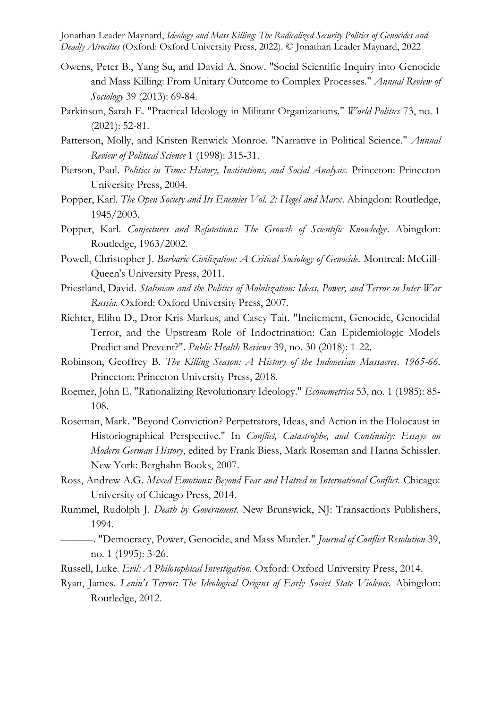- Owens, Peter B., Yang Su, and David A. Snow. "Social Scientific Inquiry into Genocide and Mass Killing: From Unitary Outcome to Complex Processes." *Annual Review of Sociology* 39 (2013): 69-84.
- Parkinson, Sarah E. "Practical Ideology in Militant Organizations." *World Politics* 73, no. 1 (2021): 52-81.
- Patterson, Molly, and Kristen Renwick Monroe. "Narrative in Political Science." *Annual Review of Political Science* 1 (1998): 315-31.
- Pierson, Paul. *Politics in Time: History, Institutions, and Social Analysis.* Princeton: Princeton University Press, 2004.
- Popper, Karl. *The Open Society and Its Enemies Vol. 2: Hegel and Marx*. Abingdon: Routledge, 1945/2003.
- Popper, Karl. *Conjectures and Refutations: The Growth of Scientific Knowledge*. Abingdon: Routledge, 1963/2002.
- Powell, Christopher J. *Barbaric Civilization: A Critical Sociology of Genocide.* Montreal: McGill-Queen's University Press, 2011.
- Priestland, David. *Stalinism and the Politics of Mobilization: Ideas, Power, and Terror in Inter-War Russia.* Oxford: Oxford University Press, 2007.
- Richter, Elihu D., Dror Kris Markus, and Casey Tait. "Incitement, Genocide, Genocidal Terror, and the Upstream Role of Indoctrination: Can Epidemiologic Models Predict and Prevent?". *Public Health Reviews* 39, no. 30 (2018): 1-22.
- Robinson, Geoffrey B. *The Killing Season: A History of the Indonesian Massacres, 1965-66.* Princeton: Princeton University Press, 2018.
- Roemer, John E. "Rationalizing Revolutionary Ideology." *Econometrica* 53, no. 1 (1985): 85- 108.
- Roseman, Mark. "Beyond Conviction? Perpetrators, Ideas, and Action in the Holocaust in Historiographical Perspective." In *Conflict, Catastrophe, and Continuity: Essays on Modern German History*, edited by Frank Biess, Mark Roseman and Hanna Schissler. New York: Berghahn Books, 2007.
- Ross, Andrew A.G. *Mixed Emotions: Beyond Fear and Hatred in International Conflict.* Chicago: University of Chicago Press, 2014.
- Rummel, Rudolph J. *Death by Government.* New Brunswick, NJ: Transactions Publishers, 1994.
- ———. "Democracy, Power, Genocide, and Mass Murder." *Journal of Conflict Resolution* 39, no. 1 (1995): 3-26.
- Russell, Luke. *Evil: A Philosophical Investigation.* Oxford: Oxford University Press, 2014.
- Ryan, James. *Lenin's Terror: The Ideological Origins of Early Soviet State Violence.* Abingdon: Routledge, 2012.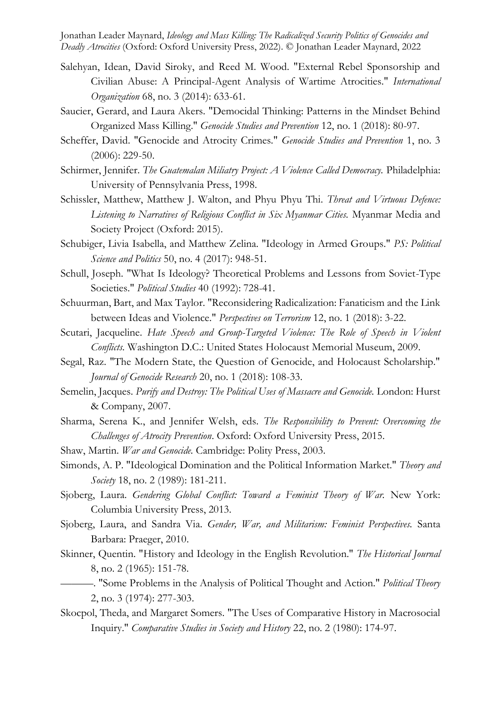- Salehyan, Idean, David Siroky, and Reed M. Wood. "External Rebel Sponsorship and Civilian Abuse: A Principal-Agent Analysis of Wartime Atrocities." *International Organization* 68, no. 3 (2014): 633-61.
- Saucier, Gerard, and Laura Akers. "Democidal Thinking: Patterns in the Mindset Behind Organized Mass Killing." *Genocide Studies and Prevention* 12, no. 1 (2018): 80-97.
- Scheffer, David. "Genocide and Atrocity Crimes." *Genocide Studies and Prevention* 1, no. 3 (2006): 229-50.
- Schirmer, Jennifer. *The Guatemalan Miliatry Project: A Violence Called Democracy.* Philadelphia: University of Pennsylvania Press, 1998.
- Schissler, Matthew, Matthew J. Walton, and Phyu Phyu Thi. *Threat and Virtuous Defence: Listening to Narratives of Religious Conflict in Six Myanmar Cities.* Myanmar Media and Society Project (Oxford: 2015).
- Schubiger, Livia Isabella, and Matthew Zelina. "Ideology in Armed Groups." *PS: Political Science and Politics* 50, no. 4 (2017): 948-51.
- Schull, Joseph. "What Is Ideology? Theoretical Problems and Lessons from Soviet-Type Societies." *Political Studies* 40 (1992): 728-41.
- Schuurman, Bart, and Max Taylor. "Reconsidering Radicalization: Fanaticism and the Link between Ideas and Violence." *Perspectives on Terrorism* 12, no. 1 (2018): 3-22.
- Scutari, Jacqueline. *Hate Speech and Group-Targeted Violence: The Role of Speech in Violent Conflicts.* Washington D.C.: United States Holocaust Memorial Museum, 2009.
- Segal, Raz. "The Modern State, the Question of Genocide, and Holocaust Scholarship." *Journal of Genocide Research* 20, no. 1 (2018): 108-33.
- Semelin, Jacques. *Purify and Destroy: The Political Uses of Massacre and Genocide.* London: Hurst & Company, 2007.
- Sharma, Serena K., and Jennifer Welsh, eds. *The Responsibility to Prevent: Overcoming the Challenges of Atrocity Prevention*. Oxford: Oxford University Press, 2015.
- Shaw, Martin. *War and Genocide.* Cambridge: Polity Press, 2003.
- Simonds, A. P. "Ideological Domination and the Political Information Market." *Theory and Society* 18, no. 2 (1989): 181-211.
- Sjoberg, Laura. *Gendering Global Conflict: Toward a Feminist Theory of War.* New York: Columbia University Press, 2013.
- Sjoberg, Laura, and Sandra Via. *Gender, War, and Militarism: Feminist Perspectives.* Santa Barbara: Praeger, 2010.
- Skinner, Quentin. "History and Ideology in the English Revolution." *The Historical Journal*  8, no. 2 (1965): 151-78.
	- ———. "Some Problems in the Analysis of Political Thought and Action." *Political Theory*  2, no. 3 (1974): 277-303.
- Skocpol, Theda, and Margaret Somers. "The Uses of Comparative History in Macrosocial Inquiry." *Comparative Studies in Society and History* 22, no. 2 (1980): 174-97.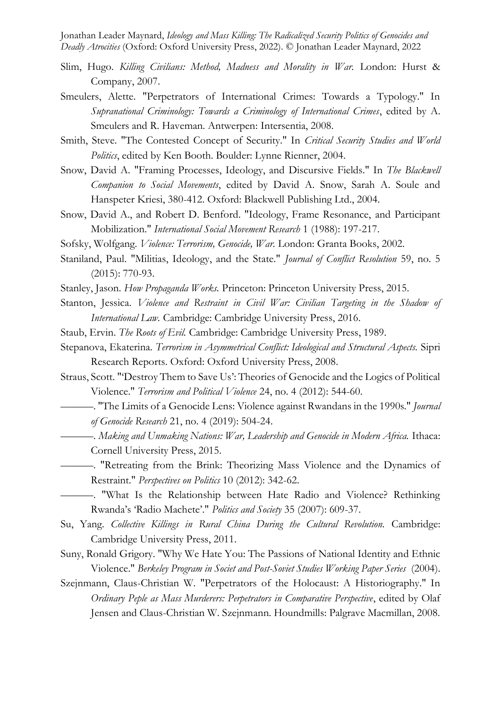- Slim, Hugo. *Killing Civilians: Method, Madness and Morality in War.* London: Hurst & Company, 2007.
- Smeulers, Alette. "Perpetrators of International Crimes: Towards a Typology." In *Supranational Criminology: Towards a Criminology of International Crimes*, edited by A. Smeulers and R. Haveman. Antwerpen: Intersentia, 2008.
- Smith, Steve. "The Contested Concept of Security." In *Critical Security Studies and World Politics*, edited by Ken Booth. Boulder: Lynne Rienner, 2004.
- Snow, David A. "Framing Processes, Ideology, and Discursive Fields." In *The Blackwell Companion to Social Movements*, edited by David A. Snow, Sarah A. Soule and Hanspeter Kriesi, 380-412. Oxford: Blackwell Publishing Ltd., 2004.
- Snow, David A., and Robert D. Benford. "Ideology, Frame Resonance, and Participant Mobilization." *International Social Movement Research* 1 (1988): 197-217.
- Sofsky, Wolfgang. *Violence: Terrorism, Genocide, War.* London: Granta Books, 2002.
- Staniland, Paul. "Militias, Ideology, and the State." *Journal of Conflict Resolution* 59, no. 5 (2015): 770-93.
- Stanley, Jason. *How Propaganda Works.* Princeton: Princeton University Press, 2015.
- Stanton, Jessica. *Violence and Restraint in Civil War: Civilian Targeting in the Shadow of International Law.* Cambridge: Cambridge University Press, 2016.
- Staub, Ervin. *The Roots of Evil.* Cambridge: Cambridge University Press, 1989.
- Stepanova, Ekaterina. *Terrorism in Asymmetrical Conflict: Ideological and Structural Aspects.* Sipri Research Reports. Oxford: Oxford University Press, 2008.
- Straus, Scott. "'Destroy Them to Save Us': Theories of Genocide and the Logics of Political Violence." *Terrorism and Political Violence* 24, no. 4 (2012): 544-60.
	- ———. "The Limits of a Genocide Lens: Violence against Rwandans in the 1990s." *Journal of Genocide Research* 21, no. 4 (2019): 504-24.
- ———. *Making and Unmaking Nations: War, Leadership and Genocide in Modern Africa.* Ithaca: Cornell University Press, 2015.
	- ———. "Retreating from the Brink: Theorizing Mass Violence and the Dynamics of Restraint." *Perspectives on Politics* 10 (2012): 342-62.
	- ———. "What Is the Relationship between Hate Radio and Violence? Rethinking Rwanda's 'Radio Machete'." *Politics and Society* 35 (2007): 609-37.
- Su, Yang. *Collective Killings in Rural China During the Cultural Revolution.* Cambridge: Cambridge University Press, 2011.
- Suny, Ronald Grigory. "Why We Hate You: The Passions of National Identity and Ethnic Violence." *Berkeley Program in Societ and Post-Soviet Studies Working Paper Series* (2004).
- Szejnmann, Claus-Christian W. "Perpetrators of the Holocaust: A Historiography." In *Ordinary Peple as Mass Murderers: Perpetrators in Comparative Perspective*, edited by Olaf Jensen and Claus-Christian W. Szejnmann. Houndmills: Palgrave Macmillan, 2008.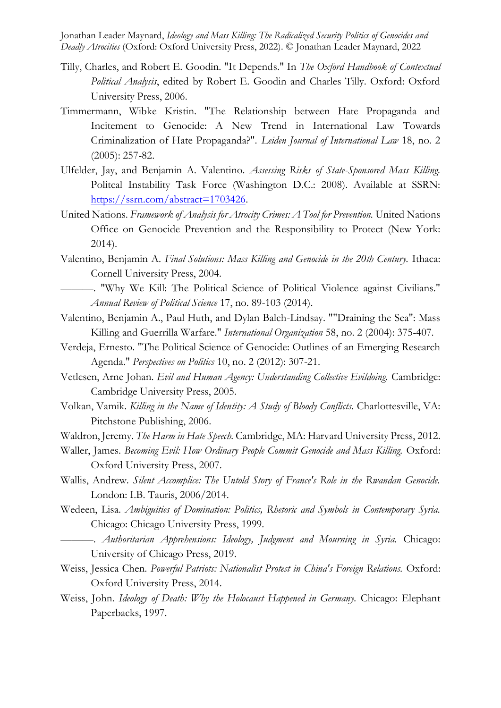- Tilly, Charles, and Robert E. Goodin. "It Depends." In *The Oxford Handbook of Contextual Political Analysis*, edited by Robert E. Goodin and Charles Tilly. Oxford: Oxford University Press, 2006.
- Timmermann, Wibke Kristin. "The Relationship between Hate Propaganda and Incitement to Genocide: A New Trend in International Law Towards Criminalization of Hate Propaganda?". *Leiden Journal of International Law* 18, no. 2 (2005): 257-82.
- Ulfelder, Jay, and Benjamin A. Valentino. *Assessing Risks of State-Sponsored Mass Killing.*  Politcal Instability Task Force (Washington D.C.: 2008). Available at SSRN: [https://ssrn.com/abstract=1703426.](https://ssrn.com/abstract=1703426)
- United Nations. *Framework of Analysis for Atrocity Crimes: A Tool for Prevention*. United Nations Office on Genocide Prevention and the Responsibility to Protect (New York: 2014).
- Valentino, Benjamin A. *Final Solutions: Mass Killing and Genocide in the 20th Century.* Ithaca: Cornell University Press, 2004.
	- ———. "Why We Kill: The Political Science of Political Violence against Civilians." *Annual Review of Political Science* 17, no. 89-103 (2014).
- Valentino, Benjamin A., Paul Huth, and Dylan Balch-Lindsay. ""Draining the Sea": Mass Killing and Guerrilla Warfare." *International Organization* 58, no. 2 (2004): 375-407.
- Verdeja, Ernesto. "The Political Science of Genocide: Outlines of an Emerging Research Agenda." *Perspectives on Politics* 10, no. 2 (2012): 307-21.
- Vetlesen, Arne Johan. *Evil and Human Agency: Understanding Collective Evildoing.* Cambridge: Cambridge University Press, 2005.
- Volkan, Vamik. *Killing in the Name of Identity: A Study of Bloody Conflicts.* Charlottesville, VA: Pitchstone Publishing, 2006.
- Waldron, Jeremy. *The Harm in Hate Speech.* Cambridge, MA: Harvard University Press, 2012.
- Waller, James. *Becoming Evil: How Ordinary People Commit Genocide and Mass Killing.* Oxford: Oxford University Press, 2007.
- Wallis, Andrew. *Silent Accomplice: The Untold Story of France's Role in the Rwandan Genocide.* London: I.B. Tauris, 2006/2014.
- Wedeen, Lisa. *Ambiguities of Domination: Politics, Rhetoric and Symbols in Contemporary Syria.* Chicago: Chicago University Press, 1999.
	- ———. *Authoritarian Apprehensions: Ideology, Judgment and Mourning in Syria.* Chicago: University of Chicago Press, 2019.
- Weiss, Jessica Chen. *Powerful Patriots: Nationalist Protest in China's Foreign Relations.* Oxford: Oxford University Press, 2014.
- Weiss, John. *Ideology of Death: Why the Holocaust Happened in Germany.* Chicago: Elephant Paperbacks, 1997.